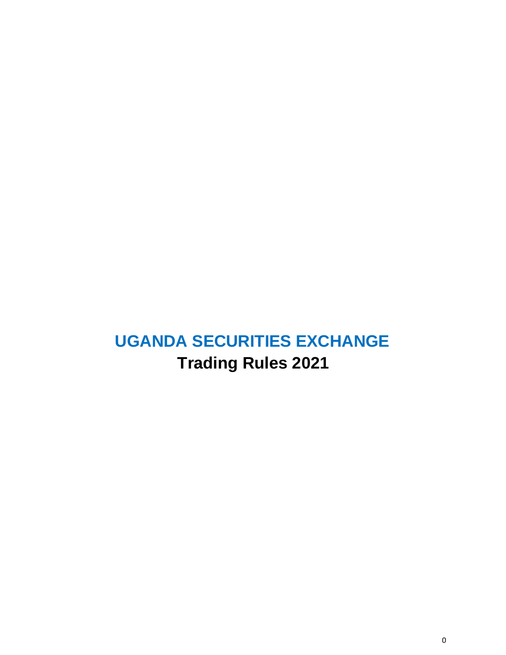# **UGANDA SECURITIES EXCHANGE Trading Rules 2021**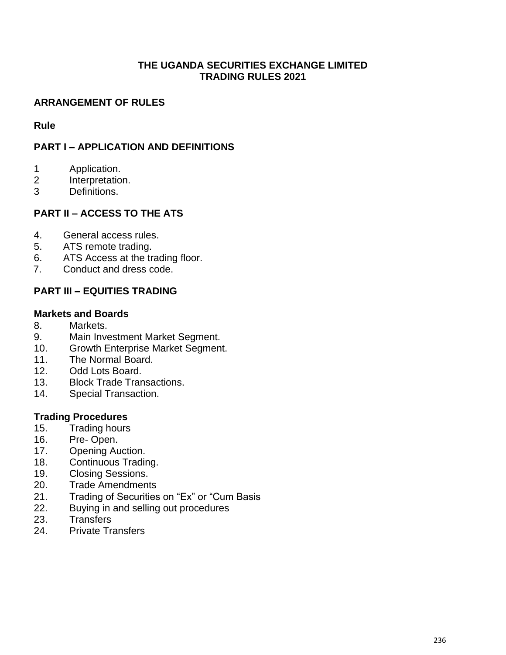#### **THE UGANDA SECURITIES EXCHANGE LIMITED TRADING RULES 2021**

# **ARRANGEMENT OF RULES**

**Rule**

# **PART I – APPLICATION AND DEFINITIONS**

- 1 Application.
- 2 Interpretation.
- 3 Definitions.

# **PART II – ACCESS TO THE ATS**

- 4. General access rules.
- 5. ATS remote trading.
- 6. ATS Access at the trading floor.
- 7. Conduct and dress code.

# **PART III – EQUITIES TRADING**

## **Markets and Boards**

- 8. Markets.
- 9. Main Investment Market Segment.
- 10. Growth Enterprise Market Segment.
- 11. The Normal Board.
- 12. Odd Lots Board.
- 13. Block Trade Transactions.
- 14. Special Transaction.

## **Trading Procedures**

- 15. Trading hours
- 16. Pre- Open.
- 17. Opening Auction.
- 18. Continuous Trading.
- 19. Closing Sessions.
- 20. Trade Amendments
- 21. Trading of Securities on "Ex" or "Cum Basis
- 22. Buying in and selling out procedures
- 23. Transfers
- 24. Private Transfers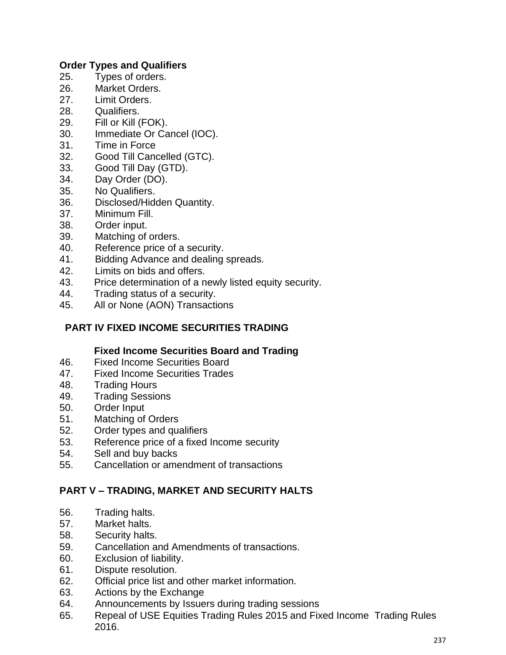## **Order Types and Qualifiers**

- 25. Types of orders.
- 26. Market Orders.
- 27. Limit Orders.
- 28. Qualifiers.
- 29. Fill or Kill (FOK).
- 30. Immediate Or Cancel (IOC).
- 31. Time in Force
- 32. Good Till Cancelled (GTC).
- 33. Good Till Day (GTD).
- 34. Day Order (DO).
- 35. No Qualifiers.
- 36. Disclosed/Hidden Quantity.
- 37. Minimum Fill.
- 38. Order input.
- 39. Matching of orders.
- 40. Reference price of a security.
- 41. Bidding Advance and dealing spreads.
- 42. Limits on bids and offers.
- 43. Price determination of a newly listed equity security.
- 44. Trading status of a security.
- 45. All or None (AON) Transactions

# **PART IV FIXED INCOME SECURITIES TRADING**

## **Fixed Income Securities Board and Trading**

- 46. Fixed Income Securities Board
- 47. Fixed Income Securities Trades
- 48. Trading Hours
- 49. Trading Sessions
- 50. Order Input
- 51. Matching of Orders
- 52. Order types and qualifiers
- 53. Reference price of a fixed Income security
- 54. Sell and buy backs
- 55. Cancellation or amendment of transactions

## **PART V – TRADING, MARKET AND SECURITY HALTS**

- 56. Trading halts.
- 57. Market halts.
- 58. Security halts.
- 59. Cancellation and Amendments of transactions.
- 60. Exclusion of liability.
- 61. Dispute resolution.
- 62. Official price list and other market information.
- 63. Actions by the Exchange
- 64. Announcements by Issuers during trading sessions
- 65. Repeal of USE Equities Trading Rules 2015 and Fixed Income Trading Rules 2016.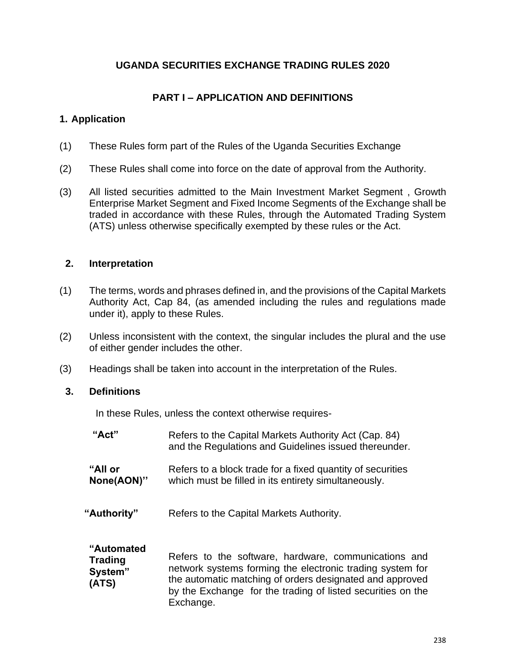# **UGANDA SECURITIES EXCHANGE TRADING RULES 2020**

# **PART I – APPLICATION AND DEFINITIONS**

## **1. Application**

- (1) These Rules form part of the Rules of the Uganda Securities Exchange
- (2) These Rules shall come into force on the date of approval from the Authority.
- (3) All listed securities admitted to the Main Investment Market Segment , Growth Enterprise Market Segment and Fixed Income Segments of the Exchange shall be traded in accordance with these Rules, through the Automated Trading System (ATS) unless otherwise specifically exempted by these rules or the Act.

## **2. Interpretation**

- (1) The terms, words and phrases defined in, and the provisions of the Capital Markets Authority Act, Cap 84, (as amended including the rules and regulations made under it), apply to these Rules.
- (2) Unless inconsistent with the context, the singular includes the plural and the use of either gender includes the other.
- (3) Headings shall be taken into account in the interpretation of the Rules.

#### **3. Definitions**

In these Rules, unless the context otherwise requires-

Exchange.

| "Act"          | Refers to the Capital Markets Authority Act (Cap. 84)<br>and the Regulations and Guidelines issued thereunder. |  |
|----------------|----------------------------------------------------------------------------------------------------------------|--|
| "All or        | Refers to a block trade for a fixed quantity of securities                                                     |  |
| None(AON)"     | which must be filled in its entirety simultaneously.                                                           |  |
| "Authority"    | Refers to the Capital Markets Authority.                                                                       |  |
| "Automated     | Refers to the software, hardware, communications and                                                           |  |
| <b>Trading</b> | network systems forming the electronic trading system for                                                      |  |
| System"        | the automatic matching of orders designated and approved                                                       |  |
| (ATS)          | by the Exchange for the trading of listed securities on the                                                    |  |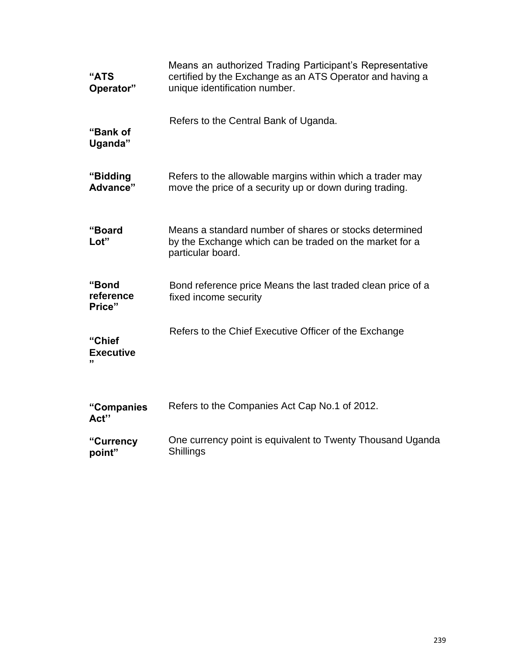| "ATS<br>Operator"            | Means an authorized Trading Participant's Representative<br>certified by the Exchange as an ATS Operator and having a<br>unique identification number. |  |
|------------------------------|--------------------------------------------------------------------------------------------------------------------------------------------------------|--|
| "Bank of<br>Uganda"          | Refers to the Central Bank of Uganda.                                                                                                                  |  |
| "Bidding<br>Advance"         | Refers to the allowable margins within which a trader may<br>move the price of a security up or down during trading.                                   |  |
| "Board<br>Lot"               | Means a standard number of shares or stocks determined<br>by the Exchange which can be traded on the market for a<br>particular board.                 |  |
| "Bond<br>reference<br>Price" | Bond reference price Means the last traded clean price of a<br>fixed income security                                                                   |  |
| "Chief<br><b>Executive</b>   | Refers to the Chief Executive Officer of the Exchange                                                                                                  |  |
| "Companies<br>Act"           | Refers to the Companies Act Cap No.1 of 2012.                                                                                                          |  |
| "Currency<br>point"          | One currency point is equivalent to Twenty Thousand Uganda<br>Shillings                                                                                |  |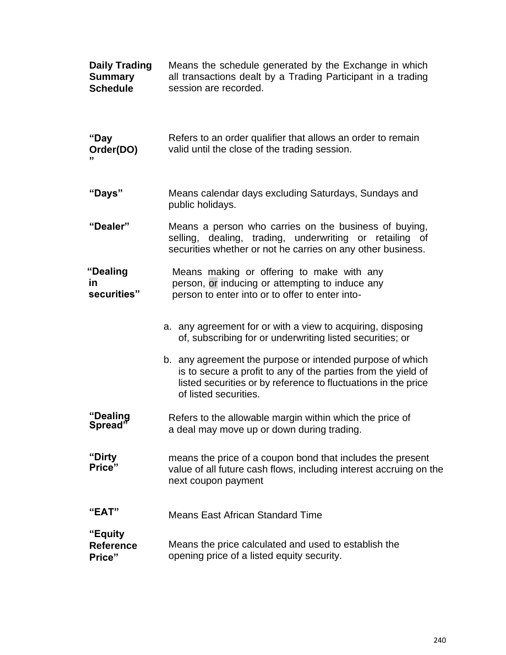| <b>Daily Trading</b><br><b>Summary</b><br><b>Schedule</b> | Means the schedule generated by the Exchange in which<br>all transactions dealt by a Trading Participant in a trading<br>session are recorded.                                                                        |
|-----------------------------------------------------------|-----------------------------------------------------------------------------------------------------------------------------------------------------------------------------------------------------------------------|
| "Day<br>Order(DO)<br>"                                    | Refers to an order qualifier that allows an order to remain<br>valid until the close of the trading session.                                                                                                          |
| "Days"                                                    | Means calendar days excluding Saturdays, Sundays and<br>public holidays.                                                                                                                                              |
| "Dealer"                                                  | Means a person who carries on the business of buying,<br>selling, dealing, trading, underwriting or retailing of<br>securities whether or not he carries on any other business.                                       |
| "Dealing<br><u>in</u><br>securities"                      | Means making or offering to make with any<br>person, or inducing or attempting to induce any<br>person to enter into or to offer to enter into-                                                                       |
|                                                           | a. any agreement for or with a view to acquiring, disposing<br>of, subscribing for or underwriting listed securities; or                                                                                              |
|                                                           | b. any agreement the purpose or intended purpose of which<br>is to secure a profit to any of the parties from the yield of<br>listed securities or by reference to fluctuations in the price<br>of listed securities. |
| "Dealing<br>Spread"                                       | Refers to the allowable margin within which the price of<br>a deal may move up or down during trading.                                                                                                                |
| "Dirty<br>Price"                                          | means the price of a coupon bond that includes the present<br>value of all future cash flows, including interest accruing on the<br>next coupon payment                                                               |
| "EAT"                                                     | <b>Means East African Standard Time</b>                                                                                                                                                                               |
| "Equity<br><b>Reference</b><br>Price"                     | Means the price calculated and used to establish the<br>opening price of a listed equity security.                                                                                                                    |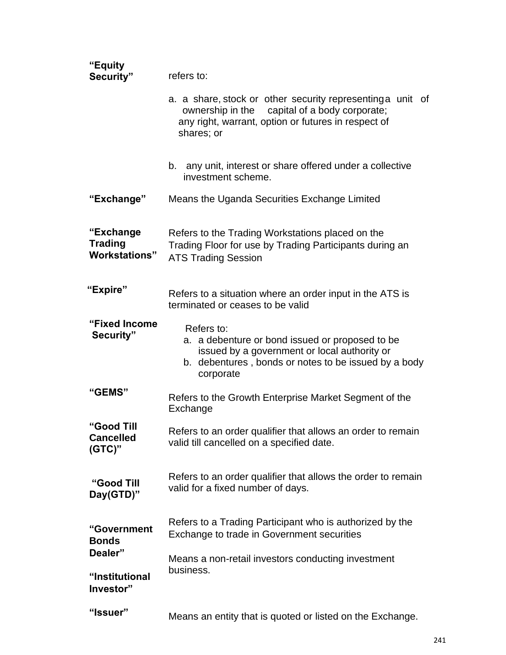| "Equity<br>Security"                                | refers to:                                                                                                                                                                          |
|-----------------------------------------------------|-------------------------------------------------------------------------------------------------------------------------------------------------------------------------------------|
|                                                     | a. a share, stock or other security representing a unit of<br>ownership in the<br>capital of a body corporate;<br>any right, warrant, option or futures in respect of<br>shares; or |
|                                                     | b. any unit, interest or share offered under a collective<br>investment scheme.                                                                                                     |
| "Exchange"                                          | Means the Uganda Securities Exchange Limited                                                                                                                                        |
| "Exchange<br><b>Trading</b><br><b>Workstations"</b> | Refers to the Trading Workstations placed on the<br>Trading Floor for use by Trading Participants during an<br><b>ATS Trading Session</b>                                           |
| "Expire"                                            | Refers to a situation where an order input in the ATS is<br>terminated or ceases to be valid                                                                                        |
| "Fixed Income<br>Security"                          | Refers to:<br>a. a debenture or bond issued or proposed to be<br>issued by a government or local authority or<br>b. debentures, bonds or notes to be issued by a body<br>corporate  |
| "GEMS"                                              | Refers to the Growth Enterprise Market Segment of the<br>Exchange                                                                                                                   |
| "Good Till<br><b>Cancelled</b><br>$(GTC)$ "         | Refers to an order qualifier that allows an order to remain<br>valid till cancelled on a specified date.                                                                            |
| "Good Till<br>Day(GTD)"                             | Refers to an order qualifier that allows the order to remain<br>valid for a fixed number of days.                                                                                   |
| "Government<br><b>Bonds</b><br>Dealer"              | Refers to a Trading Participant who is authorized by the<br>Exchange to trade in Government securities                                                                              |
| "Institutional<br>Investor"                         | Means a non-retail investors conducting investment<br>business.                                                                                                                     |
| "Issuer"                                            | Means an entity that is quoted or listed on the Exchange.                                                                                                                           |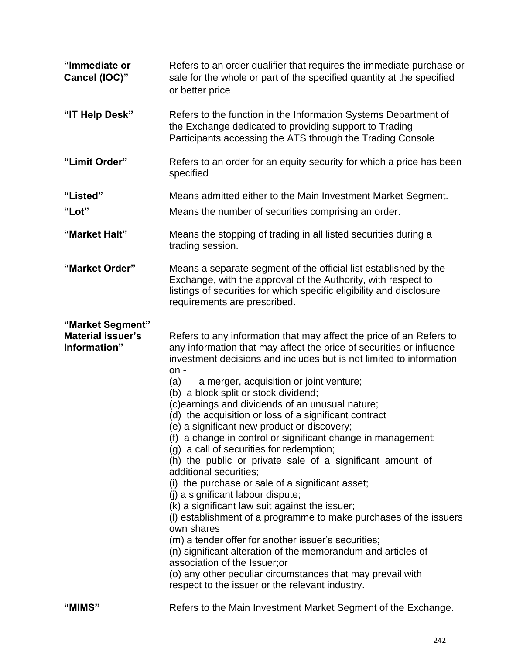| "Immediate or<br>Cancel (IOC)"                               | Refers to an order qualifier that requires the immediate purchase or<br>sale for the whole or part of the specified quantity at the specified<br>or better price                                                                                                                                                                                                                                                                                                                                                                                                                                                                                                                                                                                                                                                                                                                                                                                                                                                                                                                                                                                                                            |
|--------------------------------------------------------------|---------------------------------------------------------------------------------------------------------------------------------------------------------------------------------------------------------------------------------------------------------------------------------------------------------------------------------------------------------------------------------------------------------------------------------------------------------------------------------------------------------------------------------------------------------------------------------------------------------------------------------------------------------------------------------------------------------------------------------------------------------------------------------------------------------------------------------------------------------------------------------------------------------------------------------------------------------------------------------------------------------------------------------------------------------------------------------------------------------------------------------------------------------------------------------------------|
| "IT Help Desk"                                               | Refers to the function in the Information Systems Department of<br>the Exchange dedicated to providing support to Trading<br>Participants accessing the ATS through the Trading Console                                                                                                                                                                                                                                                                                                                                                                                                                                                                                                                                                                                                                                                                                                                                                                                                                                                                                                                                                                                                     |
| "Limit Order"                                                | Refers to an order for an equity security for which a price has been<br>specified                                                                                                                                                                                                                                                                                                                                                                                                                                                                                                                                                                                                                                                                                                                                                                                                                                                                                                                                                                                                                                                                                                           |
| "Listed"                                                     | Means admitted either to the Main Investment Market Segment.                                                                                                                                                                                                                                                                                                                                                                                                                                                                                                                                                                                                                                                                                                                                                                                                                                                                                                                                                                                                                                                                                                                                |
| "Lot"                                                        | Means the number of securities comprising an order.                                                                                                                                                                                                                                                                                                                                                                                                                                                                                                                                                                                                                                                                                                                                                                                                                                                                                                                                                                                                                                                                                                                                         |
| "Market Halt"                                                | Means the stopping of trading in all listed securities during a<br>trading session.                                                                                                                                                                                                                                                                                                                                                                                                                                                                                                                                                                                                                                                                                                                                                                                                                                                                                                                                                                                                                                                                                                         |
| "Market Order"                                               | Means a separate segment of the official list established by the<br>Exchange, with the approval of the Authority, with respect to<br>listings of securities for which specific eligibility and disclosure<br>requirements are prescribed.                                                                                                                                                                                                                                                                                                                                                                                                                                                                                                                                                                                                                                                                                                                                                                                                                                                                                                                                                   |
| "Market Segment"<br><b>Material issuer's</b><br>Information" | Refers to any information that may affect the price of an Refers to<br>any information that may affect the price of securities or influence<br>investment decisions and includes but is not limited to information<br>$on -$<br>a merger, acquisition or joint venture;<br>(a)<br>(b) a block split or stock dividend;<br>(c)earnings and dividends of an unusual nature;<br>(d) the acquisition or loss of a significant contract<br>(e) a significant new product or discovery;<br>(f) a change in control or significant change in management;<br>(g) a call of securities for redemption;<br>(h) the public or private sale of a significant amount of<br>additional securities;<br>(i) the purchase or sale of a significant asset;<br>(j) a significant labour dispute;<br>(k) a significant law suit against the issuer;<br>(I) establishment of a programme to make purchases of the issuers<br>own shares<br>(m) a tender offer for another issuer's securities;<br>(n) significant alteration of the memorandum and articles of<br>association of the Issuer; or<br>(o) any other peculiar circumstances that may prevail with<br>respect to the issuer or the relevant industry. |
| "MIMS"                                                       | Refers to the Main Investment Market Segment of the Exchange.                                                                                                                                                                                                                                                                                                                                                                                                                                                                                                                                                                                                                                                                                                                                                                                                                                                                                                                                                                                                                                                                                                                               |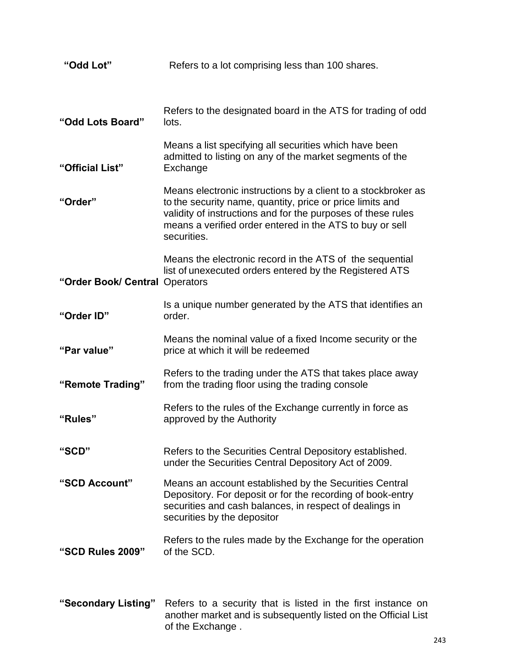| "Odd Lot"                      | Refers to a lot comprising less than 100 shares.                                                                                                                                                                                                                      |  |
|--------------------------------|-----------------------------------------------------------------------------------------------------------------------------------------------------------------------------------------------------------------------------------------------------------------------|--|
|                                |                                                                                                                                                                                                                                                                       |  |
| "Odd Lots Board"               | Refers to the designated board in the ATS for trading of odd<br>lots.                                                                                                                                                                                                 |  |
| "Official List"                | Means a list specifying all securities which have been<br>admitted to listing on any of the market segments of the<br>Exchange                                                                                                                                        |  |
| "Order"                        | Means electronic instructions by a client to a stockbroker as<br>to the security name, quantity, price or price limits and<br>validity of instructions and for the purposes of these rules<br>means a verified order entered in the ATS to buy or sell<br>securities. |  |
| "Order Book/ Central Operators | Means the electronic record in the ATS of the sequential<br>list of unexecuted orders entered by the Registered ATS                                                                                                                                                   |  |
| "Order ID"                     | Is a unique number generated by the ATS that identifies an<br>order.                                                                                                                                                                                                  |  |
| "Par value"                    | Means the nominal value of a fixed Income security or the<br>price at which it will be redeemed                                                                                                                                                                       |  |
| "Remote Trading"               | Refers to the trading under the ATS that takes place away<br>from the trading floor using the trading console                                                                                                                                                         |  |
| "Rules"                        | Refers to the rules of the Exchange currently in force as<br>approved by the Authority                                                                                                                                                                                |  |
| "SCD"                          | Refers to the Securities Central Depository established.<br>under the Securities Central Depository Act of 2009.                                                                                                                                                      |  |
| "SCD Account"                  | Means an account established by the Securities Central<br>Depository. For deposit or for the recording of book-entry<br>securities and cash balances, in respect of dealings in<br>securities by the depositor                                                        |  |
| "SCD Rules 2009"               | Refers to the rules made by the Exchange for the operation<br>of the SCD.                                                                                                                                                                                             |  |
|                                |                                                                                                                                                                                                                                                                       |  |

**"Secondary Listing"** Refers to a security that is listed in the first instance on another market and is subsequently listed on the Official List of the Exchange .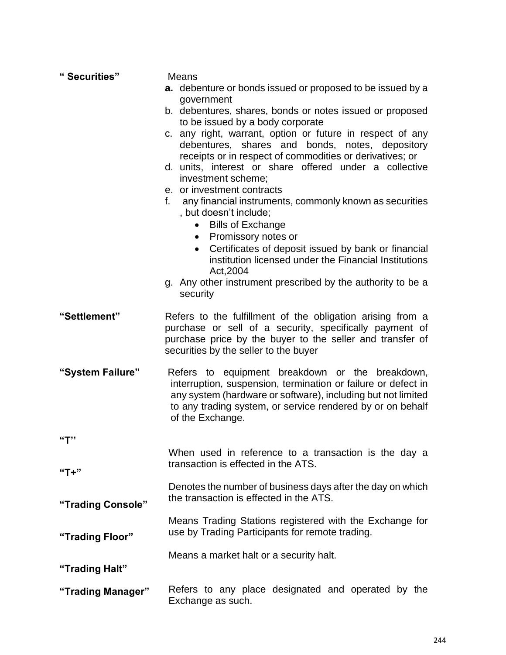| "Securities"      | Means                                                                                                                                                                                                                                                              |  |
|-------------------|--------------------------------------------------------------------------------------------------------------------------------------------------------------------------------------------------------------------------------------------------------------------|--|
|                   | a. debenture or bonds issued or proposed to be issued by a                                                                                                                                                                                                         |  |
|                   | government<br>b. debentures, shares, bonds or notes issued or proposed<br>to be issued by a body corporate                                                                                                                                                         |  |
|                   | c. any right, warrant, option or future in respect of any<br>debentures, shares and bonds, notes, depository<br>receipts or in respect of commodities or derivatives; or                                                                                           |  |
|                   | d. units, interest or share offered under a collective<br>investment scheme;                                                                                                                                                                                       |  |
|                   | e. or investment contracts<br>f.<br>any financial instruments, commonly known as securities                                                                                                                                                                        |  |
|                   | , but doesn't include;<br><b>Bills of Exchange</b>                                                                                                                                                                                                                 |  |
|                   | Promissory notes or<br>$\bullet$<br>Certificates of deposit issued by bank or financial<br>$\bullet$<br>institution licensed under the Financial Institutions<br>Act, 2004                                                                                         |  |
|                   | g. Any other instrument prescribed by the authority to be a<br>security                                                                                                                                                                                            |  |
| "Settlement"      | Refers to the fulfillment of the obligation arising from a<br>purchase or sell of a security, specifically payment of<br>purchase price by the buyer to the seller and transfer of<br>securities by the seller to the buyer                                        |  |
| "System Failure"  | Refers to equipment breakdown or the breakdown,<br>interruption, suspension, termination or failure or defect in<br>any system (hardware or software), including but not limited<br>to any trading system, or service rendered by or on behalf<br>of the Exchange. |  |
| "T"               |                                                                                                                                                                                                                                                                    |  |
| "T+"              | When used in reference to a transaction is the day a<br>transaction is effected in the ATS.                                                                                                                                                                        |  |
| "Trading Console" | Denotes the number of business days after the day on which<br>the transaction is effected in the ATS.                                                                                                                                                              |  |
| "Trading Floor"   | Means Trading Stations registered with the Exchange for<br>use by Trading Participants for remote trading.                                                                                                                                                         |  |
|                   |                                                                                                                                                                                                                                                                    |  |
| "Trading Halt"    | Means a market halt or a security halt.                                                                                                                                                                                                                            |  |
| "Trading Manager" | Refers to any place designated and operated by the<br>Exchange as such.                                                                                                                                                                                            |  |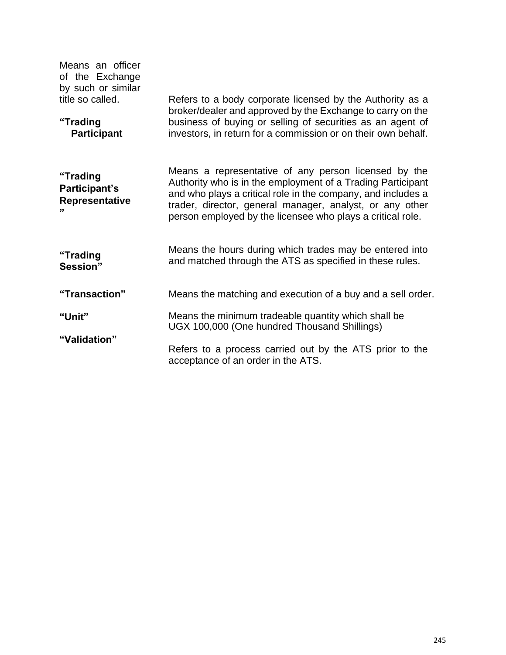| Means an officer<br>of the Exchange<br>by such or similar<br>title so called. | Refers to a body corporate licensed by the Authority as a<br>broker/dealer and approved by the Exchange to carry on the                                                                                                                                                                                       |  |
|-------------------------------------------------------------------------------|---------------------------------------------------------------------------------------------------------------------------------------------------------------------------------------------------------------------------------------------------------------------------------------------------------------|--|
| "Trading<br><b>Participant</b>                                                | business of buying or selling of securities as an agent of<br>investors, in return for a commission or on their own behalf.                                                                                                                                                                                   |  |
| "Trading<br>Participant's<br>Representative<br>,,                             | Means a representative of any person licensed by the<br>Authority who is in the employment of a Trading Participant<br>and who plays a critical role in the company, and includes a<br>trader, director, general manager, analyst, or any other<br>person employed by the licensee who plays a critical role. |  |
| "Trading<br>Session"                                                          | Means the hours during which trades may be entered into<br>and matched through the ATS as specified in these rules.                                                                                                                                                                                           |  |
| "Transaction"                                                                 | Means the matching and execution of a buy and a sell order.                                                                                                                                                                                                                                                   |  |
| "Unit"                                                                        | Means the minimum tradeable quantity which shall be<br>UGX 100,000 (One hundred Thousand Shillings)                                                                                                                                                                                                           |  |
| "Validation"                                                                  | Refers to a process carried out by the ATS prior to the<br>acceptance of an order in the ATS.                                                                                                                                                                                                                 |  |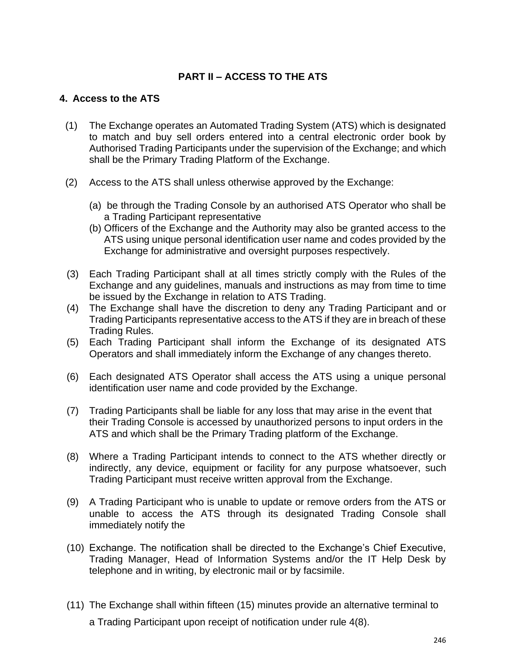# **PART II – ACCESS TO THE ATS**

#### **4. Access to the ATS**

- (1) The Exchange operates an Automated Trading System (ATS) which is designated to match and buy sell orders entered into a central electronic order book by Authorised Trading Participants under the supervision of the Exchange; and which shall be the Primary Trading Platform of the Exchange.
- (2) Access to the ATS shall unless otherwise approved by the Exchange:
	- (a) be through the Trading Console by an authorised ATS Operator who shall be a Trading Participant representative
	- (b) Officers of the Exchange and the Authority may also be granted access to the ATS using unique personal identification user name and codes provided by the Exchange for administrative and oversight purposes respectively.
- (3) Each Trading Participant shall at all times strictly comply with the Rules of the Exchange and any guidelines, manuals and instructions as may from time to time be issued by the Exchange in relation to ATS Trading.
- (4) The Exchange shall have the discretion to deny any Trading Participant and or Trading Participants representative access to the ATS if they are in breach of these Trading Rules.
- (5) Each Trading Participant shall inform the Exchange of its designated ATS Operators and shall immediately inform the Exchange of any changes thereto.
- (6) Each designated ATS Operator shall access the ATS using a unique personal identification user name and code provided by the Exchange.
- (7) Trading Participants shall be liable for any loss that may arise in the event that their Trading Console is accessed by unauthorized persons to input orders in the ATS and which shall be the Primary Trading platform of the Exchange.
- (8) Where a Trading Participant intends to connect to the ATS whether directly or indirectly, any device, equipment or facility for any purpose whatsoever, such Trading Participant must receive written approval from the Exchange.
- (9) A Trading Participant who is unable to update or remove orders from the ATS or unable to access the ATS through its designated Trading Console shall immediately notify the
- (10) Exchange. The notification shall be directed to the Exchange's Chief Executive, Trading Manager, Head of Information Systems and/or the IT Help Desk by telephone and in writing, by electronic mail or by facsimile.
- (11) The Exchange shall within fifteen (15) minutes provide an alternative terminal to a Trading Participant upon receipt of notification under rule 4(8).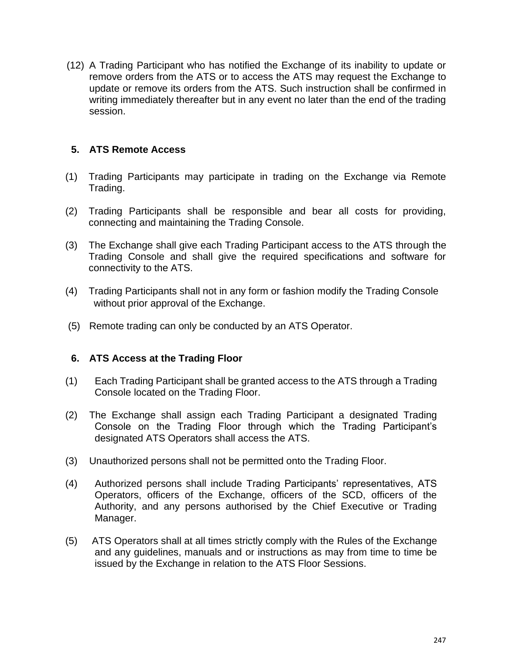(12) A Trading Participant who has notified the Exchange of its inability to update or remove orders from the ATS or to access the ATS may request the Exchange to update or remove its orders from the ATS. Such instruction shall be confirmed in writing immediately thereafter but in any event no later than the end of the trading session.

## **5. ATS Remote Access**

- (1) Trading Participants may participate in trading on the Exchange via Remote Trading.
- (2) Trading Participants shall be responsible and bear all costs for providing, connecting and maintaining the Trading Console.
- (3) The Exchange shall give each Trading Participant access to the ATS through the Trading Console and shall give the required specifications and software for connectivity to the ATS.
- (4) Trading Participants shall not in any form or fashion modify the Trading Console without prior approval of the Exchange.
- (5) Remote trading can only be conducted by an ATS Operator.

#### **6. ATS Access at the Trading Floor**

- (1) Each Trading Participant shall be granted access to the ATS through a Trading Console located on the Trading Floor.
- (2) The Exchange shall assign each Trading Participant a designated Trading Console on the Trading Floor through which the Trading Participant's designated ATS Operators shall access the ATS.
- (3) Unauthorized persons shall not be permitted onto the Trading Floor.
- (4) Authorized persons shall include Trading Participants' representatives, ATS Operators, officers of the Exchange, officers of the SCD, officers of the Authority, and any persons authorised by the Chief Executive or Trading Manager.
- (5) ATS Operators shall at all times strictly comply with the Rules of the Exchange and any guidelines, manuals and or instructions as may from time to time be issued by the Exchange in relation to the ATS Floor Sessions.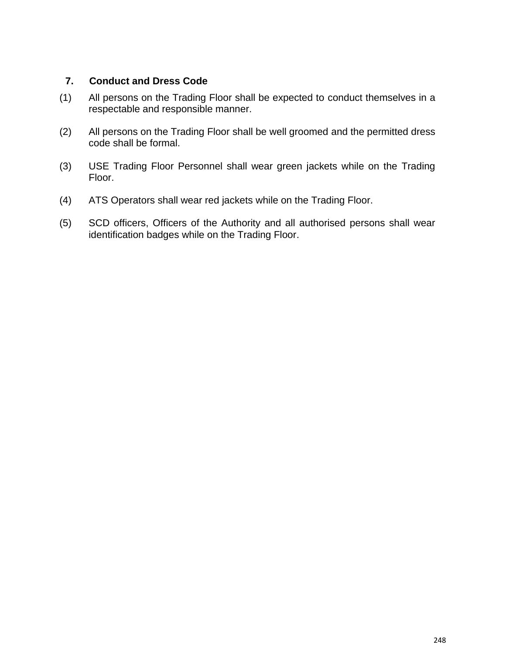## **7. Conduct and Dress Code**

- (1) All persons on the Trading Floor shall be expected to conduct themselves in a respectable and responsible manner.
- (2) All persons on the Trading Floor shall be well groomed and the permitted dress code shall be formal.
- (3) USE Trading Floor Personnel shall wear green jackets while on the Trading Floor.
- (4) ATS Operators shall wear red jackets while on the Trading Floor.
- (5) SCD officers, Officers of the Authority and all authorised persons shall wear identification badges while on the Trading Floor.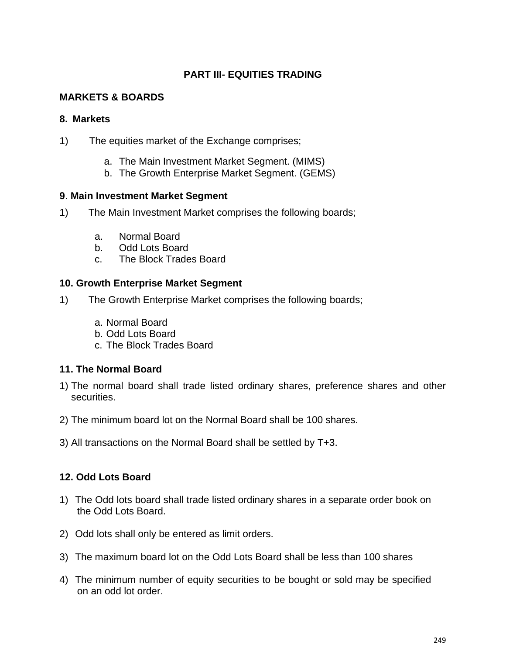# **PART III- EQUITIES TRADING**

## **MARKETS & BOARDS**

#### **8. Markets**

- 1) The equities market of the Exchange comprises;
	- a. The Main Investment Market Segment. (MIMS)
	- b. The Growth Enterprise Market Segment. (GEMS)

#### **9**. **Main Investment Market Segment**

- 1) The Main Investment Market comprises the following boards;
	- a. Normal Board
	- b. Odd Lots Board
	- c. The Block Trades Board

## **10. Growth Enterprise Market Segment**

- 1) The Growth Enterprise Market comprises the following boards;
	- a. Normal Board
	- b. Odd Lots Board
	- c. The Block Trades Board

## **11. The Normal Board**

- 1) The normal board shall trade listed ordinary shares, preference shares and other securities.
- 2) The minimum board lot on the Normal Board shall be 100 shares.
- 3) All transactions on the Normal Board shall be settled by T+3.

## **12. Odd Lots Board**

- 1) The Odd lots board shall trade listed ordinary shares in a separate order book on the Odd Lots Board.
- 2) Odd lots shall only be entered as limit orders.
- 3) The maximum board lot on the Odd Lots Board shall be less than 100 shares
- 4) The minimum number of equity securities to be bought or sold may be specified on an odd lot order.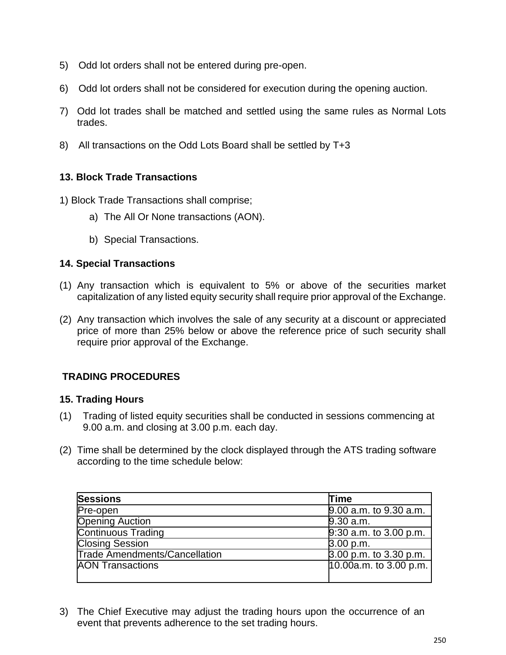- 5) Odd lot orders shall not be entered during pre-open.
- 6) Odd lot orders shall not be considered for execution during the opening auction.
- 7) Odd lot trades shall be matched and settled using the same rules as Normal Lots trades.
- 8) All transactions on the Odd Lots Board shall be settled by T+3

## **13. Block Trade Transactions**

- 1) Block Trade Transactions shall comprise;
	- a) The All Or None transactions (AON).
	- b) Special Transactions.

## **14. Special Transactions**

- (1) Any transaction which is equivalent to 5% or above of the securities market capitalization of any listed equity security shall require prior approval of the Exchange.
- (2) Any transaction which involves the sale of any security at a discount or appreciated price of more than 25% below or above the reference price of such security shall require prior approval of the Exchange.

# **TRADING PROCEDURES**

#### **15. Trading Hours**

- (1) Trading of listed equity securities shall be conducted in sessions commencing at 9.00 a.m. and closing at 3.00 p.m. each day.
- (2) Time shall be determined by the clock displayed through the ATS trading software according to the time schedule below:

| <b>Sessions</b>                      | Time                   |
|--------------------------------------|------------------------|
| Pre-open                             | 9.00 a.m. to 9.30 a.m. |
| <b>Opening Auction</b>               | 9.30 a.m.              |
| <b>Continuous Trading</b>            | 9:30 a.m. to 3.00 p.m. |
| <b>Closing Session</b>               | 3.00 p.m.              |
| <b>Trade Amendments/Cancellation</b> | 3.00 p.m. to 3.30 p.m. |
| <b>AON Transactions</b>              | 10.00a.m. to 3.00 p.m. |
|                                      |                        |

3) The Chief Executive may adjust the trading hours upon the occurrence of an event that prevents adherence to the set trading hours.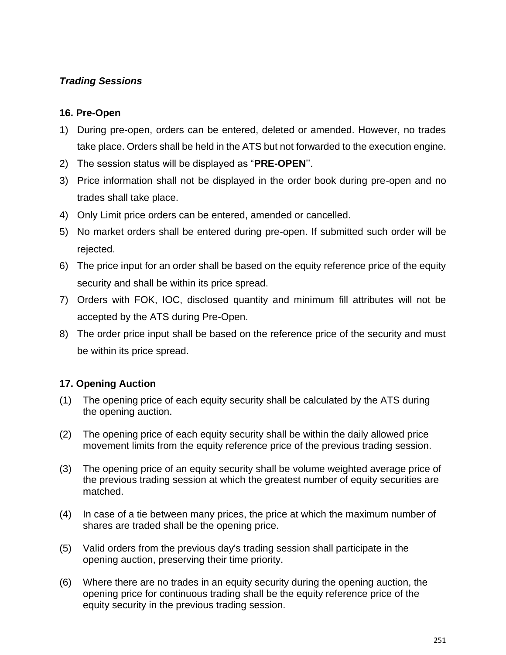# *Trading Sessions*

## **16. Pre-Open**

- 1) During pre-open, orders can be entered, deleted or amended. However, no trades take place. Orders shall be held in the ATS but not forwarded to the execution engine.
- 2) The session status will be displayed as "**PRE-OPEN**''.
- 3) Price information shall not be displayed in the order book during pre-open and no trades shall take place.
- 4) Only Limit price orders can be entered, amended or cancelled.
- 5) No market orders shall be entered during pre-open. If submitted such order will be rejected.
- 6) The price input for an order shall be based on the equity reference price of the equity security and shall be within its price spread.
- 7) Orders with FOK, IOC, disclosed quantity and minimum fill attributes will not be accepted by the ATS during Pre-Open.
- 8) The order price input shall be based on the reference price of the security and must be within its price spread.

## **17. Opening Auction**

- (1) The opening price of each equity security shall be calculated by the ATS during the opening auction.
- (2) The opening price of each equity security shall be within the daily allowed price movement limits from the equity reference price of the previous trading session.
- (3) The opening price of an equity security shall be volume weighted average price of the previous trading session at which the greatest number of equity securities are matched.
- (4) In case of a tie between many prices, the price at which the maximum number of shares are traded shall be the opening price.
- (5) Valid orders from the previous day's trading session shall participate in the opening auction, preserving their time priority.
- (6) Where there are no trades in an equity security during the opening auction, the opening price for continuous trading shall be the equity reference price of the equity security in the previous trading session.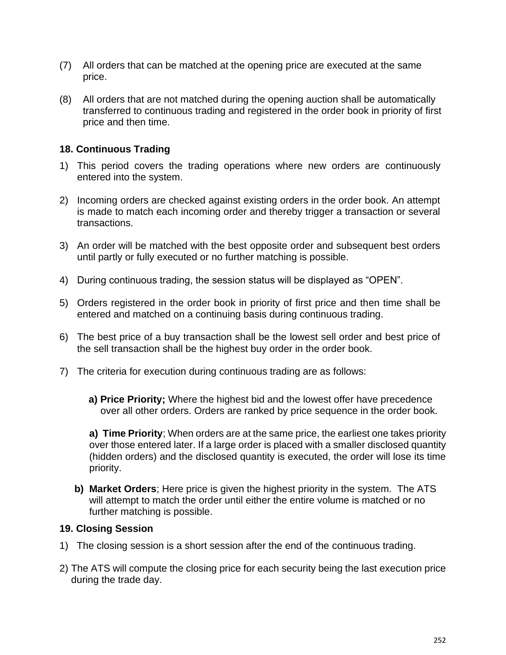- (7) All orders that can be matched at the opening price are executed at the same price.
- (8) All orders that are not matched during the opening auction shall be automatically transferred to continuous trading and registered in the order book in priority of first price and then time.

## **18. Continuous Trading**

- 1) This period covers the trading operations where new orders are continuously entered into the system.
- 2) Incoming orders are checked against existing orders in the order book. An attempt is made to match each incoming order and thereby trigger a transaction or several transactions.
- 3) An order will be matched with the best opposite order and subsequent best orders until partly or fully executed or no further matching is possible.
- 4) During continuous trading, the session status will be displayed as "OPEN".
- 5) Orders registered in the order book in priority of first price and then time shall be entered and matched on a continuing basis during continuous trading.
- 6) The best price of a buy transaction shall be the lowest sell order and best price of the sell transaction shall be the highest buy order in the order book.
- 7) The criteria for execution during continuous trading are as follows:
	- **a) Price Priority;** Where the highest bid and the lowest offer have precedence over all other orders. Orders are ranked by price sequence in the order book.

**a) Time Priority**; When orders are at the same price, the earliest one takes priority over those entered later. If a large order is placed with a smaller disclosed quantity (hidden orders) and the disclosed quantity is executed, the order will lose its time priority.

**b) Market Orders**; Here price is given the highest priority in the system. The ATS will attempt to match the order until either the entire volume is matched or no further matching is possible.

#### **19. Closing Session**

- 1) The closing session is a short session after the end of the continuous trading.
- 2) The ATS will compute the closing price for each security being the last execution price during the trade day.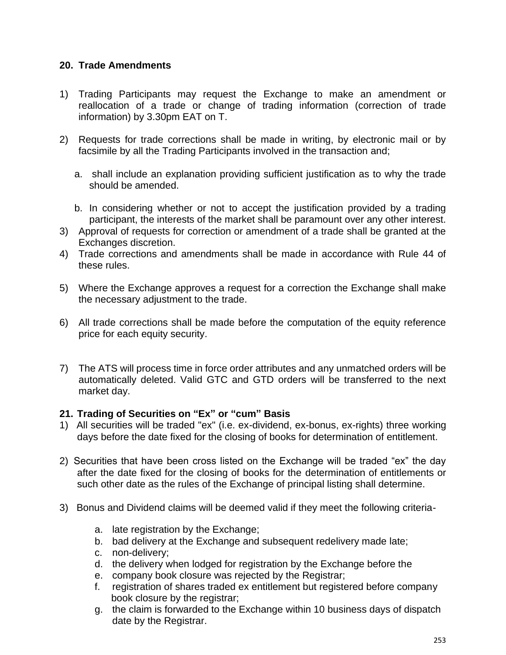## **20. Trade Amendments**

- 1) Trading Participants may request the Exchange to make an amendment or reallocation of a trade or change of trading information (correction of trade information) by 3.30pm EAT on T.
- 2) Requests for trade corrections shall be made in writing, by electronic mail or by facsimile by all the Trading Participants involved in the transaction and;
	- a. shall include an explanation providing sufficient justification as to why the trade should be amended.
	- b. In considering whether or not to accept the justification provided by a trading participant, the interests of the market shall be paramount over any other interest.
- 3) Approval of requests for correction or amendment of a trade shall be granted at the Exchanges discretion.
- 4) Trade corrections and amendments shall be made in accordance with Rule 44 of these rules.
- 5) Where the Exchange approves a request for a correction the Exchange shall make the necessary adjustment to the trade.
- 6) All trade corrections shall be made before the computation of the equity reference price for each equity security.
- 7) The ATS will process time in force order attributes and any unmatched orders will be automatically deleted. Valid GTC and GTD orders will be transferred to the next market day.

#### **21. Trading of Securities on "Ex" or "cum" Basis**

- 1) All securities will be traded "ex" (i.e. ex-dividend, ex-bonus, ex-rights) three working days before the date fixed for the closing of books for determination of entitlement.
- 2) Securities that have been cross listed on the Exchange will be traded "ex" the day after the date fixed for the closing of books for the determination of entitlements or such other date as the rules of the Exchange of principal listing shall determine.
- 3) Bonus and Dividend claims will be deemed valid if they meet the following criteria
	- a. late registration by the Exchange;
	- b. bad delivery at the Exchange and subsequent redelivery made late;
	- c. non-delivery;
	- d. the delivery when lodged for registration by the Exchange before the
	- e. company book closure was rejected by the Registrar;
	- f. registration of shares traded ex entitlement but registered before company book closure by the registrar;
	- g. the claim is forwarded to the Exchange within 10 business days of dispatch date by the Registrar.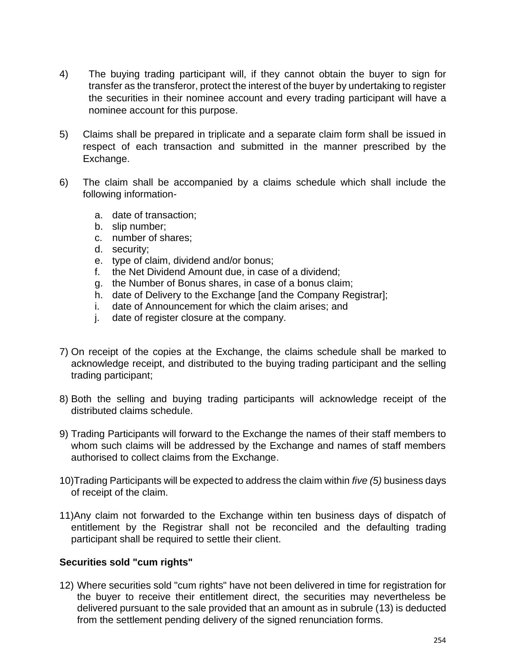- 4) The buying trading participant will, if they cannot obtain the buyer to sign for transfer as the transferor, protect the interest of the buyer by undertaking to register the securities in their nominee account and every trading participant will have a nominee account for this purpose.
- 5) Claims shall be prepared in triplicate and a separate claim form shall be issued in respect of each transaction and submitted in the manner prescribed by the Exchange.
- 6) The claim shall be accompanied by a claims schedule which shall include the following information
	- a. date of transaction;
	- b. slip number;
	- c. number of shares;
	- d. security;
	- e. type of claim, dividend and/or bonus;
	- f. the Net Dividend Amount due, in case of a dividend;
	- g. the Number of Bonus shares, in case of a bonus claim;
	- h. date of Delivery to the Exchange [and the Company Registrar];
	- i. date of Announcement for which the claim arises; and
	- j. date of register closure at the company.
- 7) On receipt of the copies at the Exchange, the claims schedule shall be marked to acknowledge receipt, and distributed to the buying trading participant and the selling trading participant;
- 8) Both the selling and buying trading participants will acknowledge receipt of the distributed claims schedule.
- 9) Trading Participants will forward to the Exchange the names of their staff members to whom such claims will be addressed by the Exchange and names of staff members authorised to collect claims from the Exchange.
- 10)Trading Participants will be expected to address the claim within *five (5)* business days of receipt of the claim.
- 11)Any claim not forwarded to the Exchange within ten business days of dispatch of entitlement by the Registrar shall not be reconciled and the defaulting trading participant shall be required to settle their client.

## **Securities sold "cum rights"**

12) Where securities sold "cum rights" have not been delivered in time for registration for the buyer to receive their entitlement direct, the securities may nevertheless be delivered pursuant to the sale provided that an amount as in subrule (13) is deducted from the settlement pending delivery of the signed renunciation forms.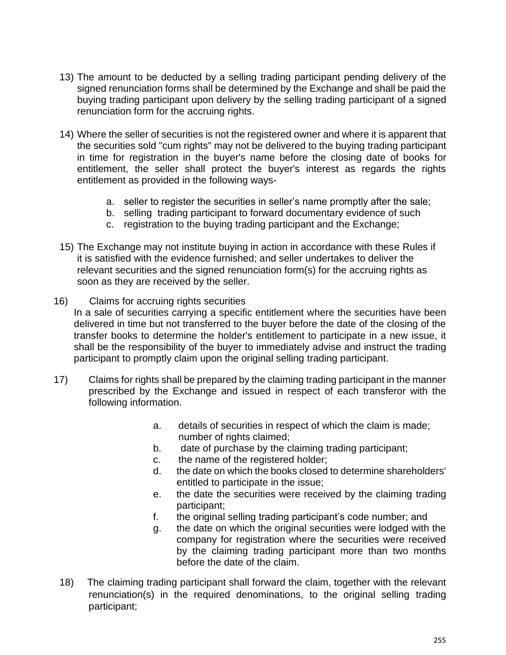- 13) The amount to be deducted by a selling trading participant pending delivery of the signed renunciation forms shall be determined by the Exchange and shall be paid the buying trading participant upon delivery by the selling trading participant of a signed renunciation form for the accruing rights.
- 14) Where the seller of securities is not the registered owner and where it is apparent that the securities sold "cum rights" may not be delivered to the buying trading participant in time for registration in the buyer's name before the closing date of books for entitlement, the seller shall protect the buyer's interest as regards the rights entitlement as provided in the following ways
	- a. seller to register the securities in seller's name promptly after the sale;
	- b. selling trading participant to forward documentary evidence of such
	- c. registration to the buying trading participant and the Exchange;
- 15) The Exchange may not institute buying in action in accordance with these Rules if it is satisfied with the evidence furnished; and seller undertakes to deliver the relevant securities and the signed renunciation form(s) for the accruing rights as soon as they are received by the seller.
- 16) Claims for accruing rights securities

In a sale of securities carrying a specific entitlement where the securities have been delivered in time but not transferred to the buyer before the date of the closing of the transfer books to determine the holder's entitlement to participate in a new issue, it shall be the responsibility of the buyer to immediately advise and instruct the trading participant to promptly claim upon the original selling trading participant.

- 17) Claims for rights shall be prepared by the claiming trading participant in the manner prescribed by the Exchange and issued in respect of each transferor with the following information.
	- a. details of securities in respect of which the claim is made; number of rights claimed;
	- b. date of purchase by the claiming trading participant;
	- c. the name of the registered holder;
	- d. the date on which the books closed to determine shareholders' entitled to participate in the issue;
	- e. the date the securities were received by the claiming trading participant;
	- f. the original selling trading participant's code number; and
	- g. the date on which the original securities were lodged with the company for registration where the securities were received by the claiming trading participant more than two months before the date of the claim.
	- 18) The claiming trading participant shall forward the claim, together with the relevant renunciation(s) in the required denominations, to the original selling trading participant;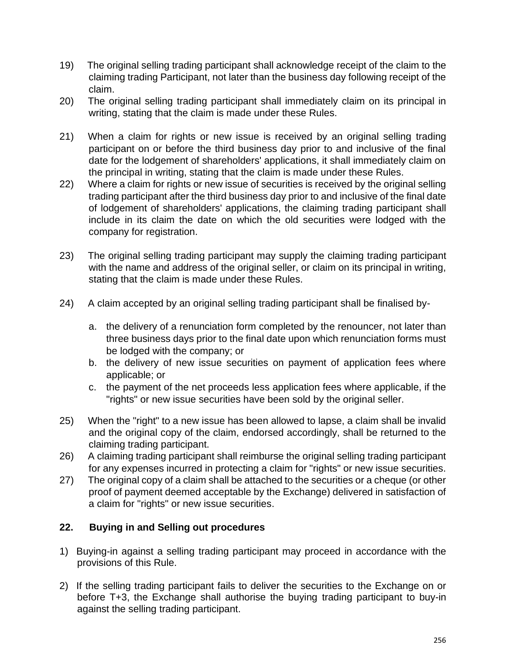- 19) The original selling trading participant shall acknowledge receipt of the claim to the claiming trading Participant, not later than the business day following receipt of the claim.
- 20) The original selling trading participant shall immediately claim on its principal in writing, stating that the claim is made under these Rules.
- 21) When a claim for rights or new issue is received by an original selling trading participant on or before the third business day prior to and inclusive of the final date for the lodgement of shareholders' applications, it shall immediately claim on the principal in writing, stating that the claim is made under these Rules.
- 22) Where a claim for rights or new issue of securities is received by the original selling trading participant after the third business day prior to and inclusive of the final date of lodgement of shareholders' applications, the claiming trading participant shall include in its claim the date on which the old securities were lodged with the company for registration.
- 23) The original selling trading participant may supply the claiming trading participant with the name and address of the original seller, or claim on its principal in writing, stating that the claim is made under these Rules.
- 24) A claim accepted by an original selling trading participant shall be finalised by
	- a. the delivery of a renunciation form completed by the renouncer, not later than three business days prior to the final date upon which renunciation forms must be lodged with the company; or
	- b. the delivery of new issue securities on payment of application fees where applicable; or
	- c. the payment of the net proceeds less application fees where applicable, if the "rights" or new issue securities have been sold by the original seller.
- 25) When the "right" to a new issue has been allowed to lapse, a claim shall be invalid and the original copy of the claim, endorsed accordingly, shall be returned to the claiming trading participant.
- 26) A claiming trading participant shall reimburse the original selling trading participant for any expenses incurred in protecting a claim for "rights" or new issue securities.
- 27) The original copy of a claim shall be attached to the securities or a cheque (or other proof of payment deemed acceptable by the Exchange) delivered in satisfaction of a claim for "rights" or new issue securities.

## **22. Buying in and Selling out procedures**

- 1) Buying-in against a selling trading participant may proceed in accordance with the provisions of this Rule.
- 2) If the selling trading participant fails to deliver the securities to the Exchange on or before T+3, the Exchange shall authorise the buying trading participant to buy-in against the selling trading participant.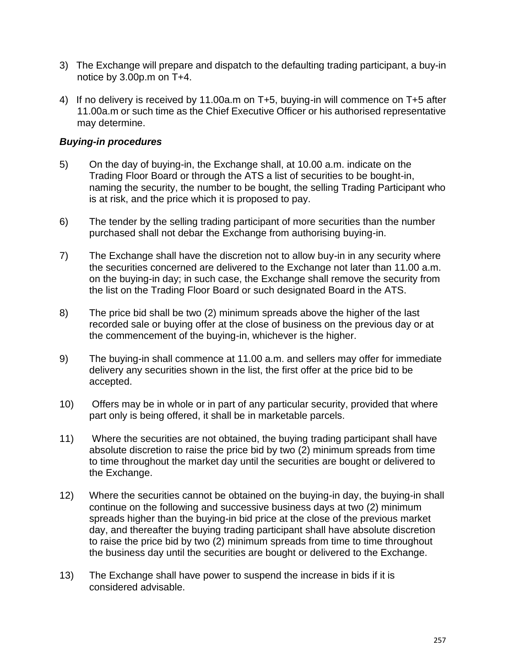- 3) The Exchange will prepare and dispatch to the defaulting trading participant, a buy-in notice by 3.00p.m on T+4.
- 4) If no delivery is received by 11.00a.m on T+5, buying-in will commence on T+5 after 11.00a.m or such time as the Chief Executive Officer or his authorised representative may determine.

## *Buying-in procedures*

- 5) On the day of buying-in, the Exchange shall, at 10.00 a.m. indicate on the Trading Floor Board or through the ATS a list of securities to be bought-in, naming the security, the number to be bought, the selling Trading Participant who is at risk, and the price which it is proposed to pay.
- 6) The tender by the selling trading participant of more securities than the number purchased shall not debar the Exchange from authorising buying-in.
- 7) The Exchange shall have the discretion not to allow buy-in in any security where the securities concerned are delivered to the Exchange not later than 11.00 a.m. on the buying-in day; in such case, the Exchange shall remove the security from the list on the Trading Floor Board or such designated Board in the ATS.
- 8) The price bid shall be two (2) minimum spreads above the higher of the last recorded sale or buying offer at the close of business on the previous day or at the commencement of the buying-in, whichever is the higher.
- 9) The buying-in shall commence at 11.00 a.m. and sellers may offer for immediate delivery any securities shown in the list, the first offer at the price bid to be accepted.
- 10) Offers may be in whole or in part of any particular security, provided that where part only is being offered, it shall be in marketable parcels.
- 11) Where the securities are not obtained, the buying trading participant shall have absolute discretion to raise the price bid by two (2) minimum spreads from time to time throughout the market day until the securities are bought or delivered to the Exchange.
- 12) Where the securities cannot be obtained on the buying-in day, the buying-in shall continue on the following and successive business days at two (2) minimum spreads higher than the buying-in bid price at the close of the previous market day, and thereafter the buying trading participant shall have absolute discretion to raise the price bid by two (2) minimum spreads from time to time throughout the business day until the securities are bought or delivered to the Exchange.
- 13) The Exchange shall have power to suspend the increase in bids if it is considered advisable.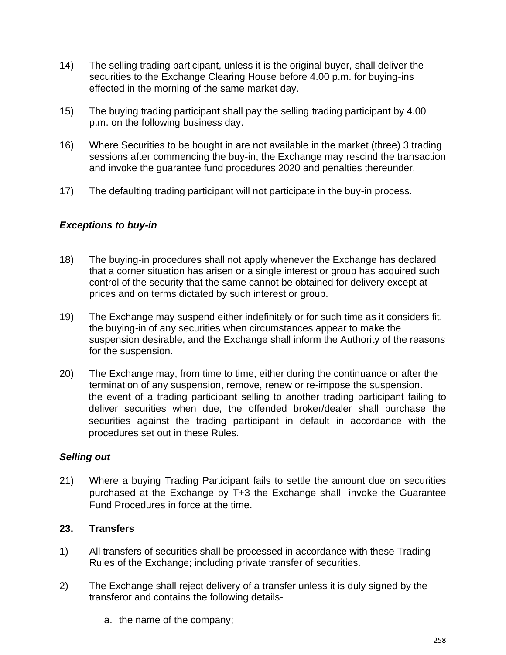- 14) The selling trading participant, unless it is the original buyer, shall deliver the securities to the Exchange Clearing House before 4.00 p.m. for buying-ins effected in the morning of the same market day.
- 15) The buying trading participant shall pay the selling trading participant by 4.00 p.m. on the following business day.
- 16) Where Securities to be bought in are not available in the market (three) 3 trading sessions after commencing the buy-in, the Exchange may rescind the transaction and invoke the guarantee fund procedures 2020 and penalties thereunder.
- 17) The defaulting trading participant will not participate in the buy-in process.

# *Exceptions to buy-in*

- 18) The buying-in procedures shall not apply whenever the Exchange has declared that a corner situation has arisen or a single interest or group has acquired such control of the security that the same cannot be obtained for delivery except at prices and on terms dictated by such interest or group.
- 19) The Exchange may suspend either indefinitely or for such time as it considers fit, the buying-in of any securities when circumstances appear to make the suspension desirable, and the Exchange shall inform the Authority of the reasons for the suspension.
- 20) The Exchange may, from time to time, either during the continuance or after the termination of any suspension, remove, renew or re-impose the suspension. the event of a trading participant selling to another trading participant failing to deliver securities when due, the offended broker/dealer shall purchase the securities against the trading participant in default in accordance with the procedures set out in these Rules.

## *Selling out*

21) Where a buying Trading Participant fails to settle the amount due on securities purchased at the Exchange by T+3 the Exchange shall invoke the Guarantee Fund Procedures in force at the time.

## **23. Transfers**

- 1) All transfers of securities shall be processed in accordance with these Trading Rules of the Exchange; including private transfer of securities.
- 2) The Exchange shall reject delivery of a transfer unless it is duly signed by the transferor and contains the following details
	- a. the name of the company;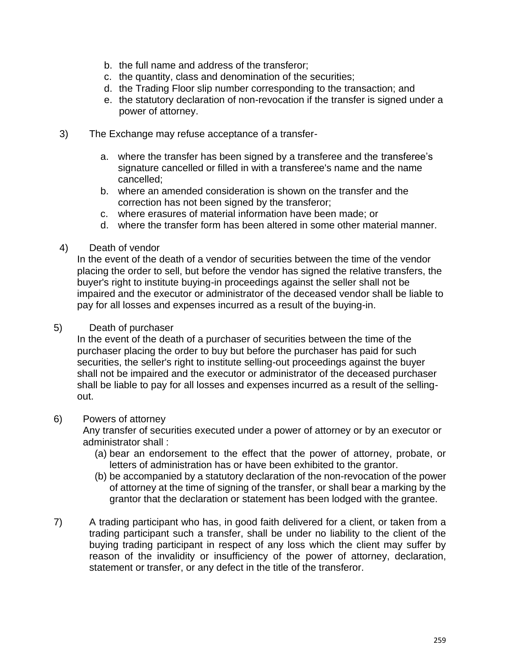- b. the full name and address of the transferor;
- c. the quantity, class and denomination of the securities;
- d. the Trading Floor slip number corresponding to the transaction; and
- e. the statutory declaration of non-revocation if the transfer is signed under a power of attorney.
- 3) The Exchange may refuse acceptance of a transfer
	- a. where the transfer has been signed by a transferee and the transferee's signature cancelled or filled in with a transferee's name and the name cancelled;
	- b. where an amended consideration is shown on the transfer and the correction has not been signed by the transferor;
	- c. where erasures of material information have been made; or
	- d. where the transfer form has been altered in some other material manner.
- 4) Death of vendor

In the event of the death of a vendor of securities between the time of the vendor placing the order to sell, but before the vendor has signed the relative transfers, the buyer's right to institute buying-in proceedings against the seller shall not be impaired and the executor or administrator of the deceased vendor shall be liable to pay for all losses and expenses incurred as a result of the buying-in.

#### 5) Death of purchaser

In the event of the death of a purchaser of securities between the time of the purchaser placing the order to buy but before the purchaser has paid for such securities, the seller's right to institute selling-out proceedings against the buyer shall not be impaired and the executor or administrator of the deceased purchaser shall be liable to pay for all losses and expenses incurred as a result of the sellingout.

#### 6) Powers of attorney

Any transfer of securities executed under a power of attorney or by an executor or administrator shall :

- (a) bear an endorsement to the effect that the power of attorney, probate, or letters of administration has or have been exhibited to the grantor.
- (b) be accompanied by a statutory declaration of the non-revocation of the power of attorney at the time of signing of the transfer, or shall bear a marking by the grantor that the declaration or statement has been lodged with the grantee.
- 7) A trading participant who has, in good faith delivered for a client, or taken from a trading participant such a transfer, shall be under no liability to the client of the buying trading participant in respect of any loss which the client may suffer by reason of the invalidity or insufficiency of the power of attorney, declaration, statement or transfer, or any defect in the title of the transferor.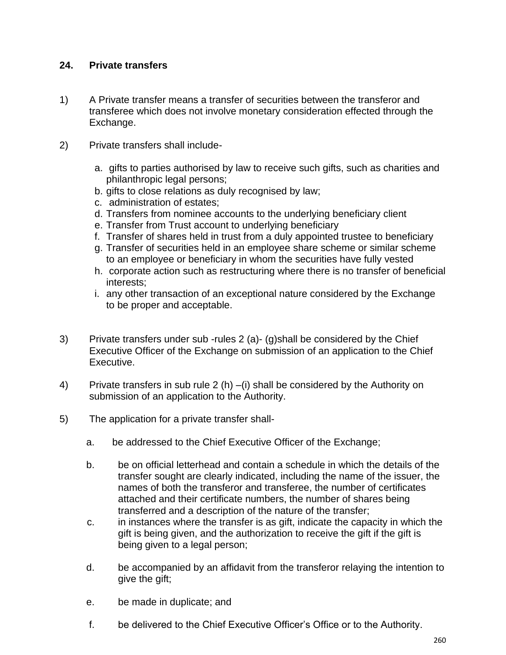## **24. Private transfers**

- 1) A Private transfer means a transfer of securities between the transferor and transferee which does not involve monetary consideration effected through the Exchange.
- 2) Private transfers shall include
	- a. gifts to parties authorised by law to receive such gifts, such as charities and philanthropic legal persons;
	- b. gifts to close relations as duly recognised by law;
	- c. administration of estates;
	- d. Transfers from nominee accounts to the underlying beneficiary client
	- e. Transfer from Trust account to underlying beneficiary
	- f. Transfer of shares held in trust from a duly appointed trustee to beneficiary
	- g. Transfer of securities held in an employee share scheme or similar scheme to an employee or beneficiary in whom the securities have fully vested
	- h. corporate action such as restructuring where there is no transfer of beneficial interests;
	- i. any other transaction of an exceptional nature considered by the Exchange to be proper and acceptable.
- 3) Private transfers under sub -rules 2 (a)- (g)shall be considered by the Chief Executive Officer of the Exchange on submission of an application to the Chief Executive.
- 4) Private transfers in sub rule 2 (h) –(i) shall be considered by the Authority on submission of an application to the Authority.
- 5) The application for a private transfer shall
	- a. be addressed to the Chief Executive Officer of the Exchange;
	- b. be on official letterhead and contain a schedule in which the details of the transfer sought are clearly indicated, including the name of the issuer, the names of both the transferor and transferee, the number of certificates attached and their certificate numbers, the number of shares being transferred and a description of the nature of the transfer;
	- c. in instances where the transfer is as gift, indicate the capacity in which the gift is being given, and the authorization to receive the gift if the gift is being given to a legal person;
	- d. be accompanied by an affidavit from the transferor relaying the intention to give the gift;
	- e. be made in duplicate; and
	- f. be delivered to the Chief Executive Officer's Office or to the Authority.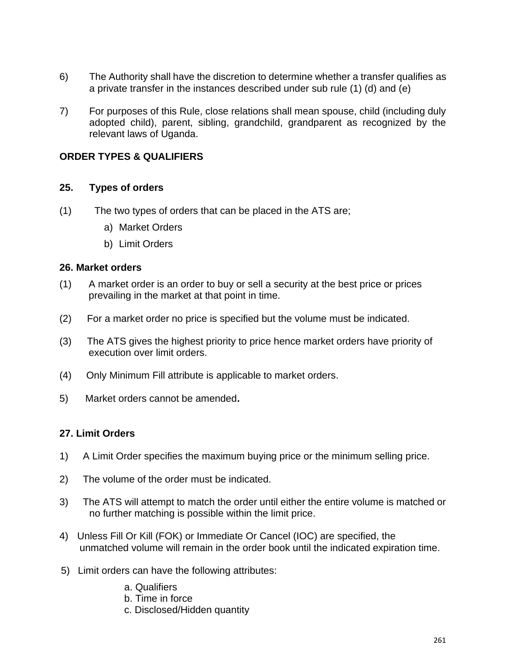- 6) The Authority shall have the discretion to determine whether a transfer qualifies as a private transfer in the instances described under sub rule (1) (d) and (e)
- 7) For purposes of this Rule, close relations shall mean spouse, child (including duly adopted child), parent, sibling, grandchild, grandparent as recognized by the relevant laws of Uganda.

## **ORDER TYPES & QUALIFIERS**

#### **25. Types of orders**

- (1) The two types of orders that can be placed in the ATS are;
	- a) Market Orders
	- b) Limit Orders

#### **26. Market orders**

- (1) A market order is an order to buy or sell a security at the best price or prices prevailing in the market at that point in time.
- (2) For a market order no price is specified but the volume must be indicated.
- (3) The ATS gives the highest priority to price hence market orders have priority of execution over limit orders.
- (4) Only Minimum Fill attribute is applicable to market orders.
- 5) Market orders cannot be amended**.**

#### **27. Limit Orders**

- 1) A Limit Order specifies the maximum buying price or the minimum selling price.
- 2) The volume of the order must be indicated.
- 3) The ATS will attempt to match the order until either the entire volume is matched or no further matching is possible within the limit price.
- 4) Unless Fill Or Kill (FOK) or Immediate Or Cancel (IOC) are specified, the unmatched volume will remain in the order book until the indicated expiration time.
- 5) Limit orders can have the following attributes:
	- a. Qualifiers
	- b. Time in force
	- c. Disclosed/Hidden quantity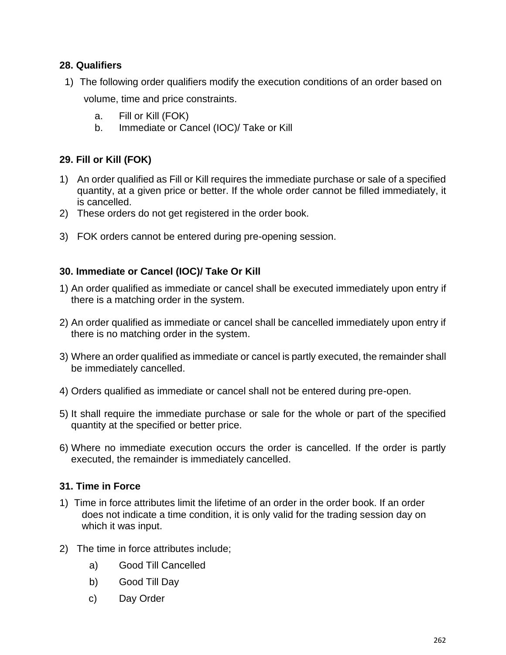## **28. Qualifiers**

- 1) The following order qualifiers modify the execution conditions of an order based on volume, time and price constraints.
	- a. Fill or Kill (FOK)
	- b. Immediate or Cancel (IOC)/ Take or Kill

# **29. Fill or Kill (FOK)**

- 1) An order qualified as Fill or Kill requires the immediate purchase or sale of a specified quantity, at a given price or better. If the whole order cannot be filled immediately, it is cancelled.
- 2) These orders do not get registered in the order book.
- 3) FOK orders cannot be entered during pre-opening session.

## **30. Immediate or Cancel (IOC)/ Take Or Kill**

- 1) An order qualified as immediate or cancel shall be executed immediately upon entry if there is a matching order in the system.
- 2) An order qualified as immediate or cancel shall be cancelled immediately upon entry if there is no matching order in the system.
- 3) Where an order qualified as immediate or cancel is partly executed, the remainder shall be immediately cancelled.
- 4) Orders qualified as immediate or cancel shall not be entered during pre-open.
- 5) It shall require the immediate purchase or sale for the whole or part of the specified quantity at the specified or better price.
- 6) Where no immediate execution occurs the order is cancelled. If the order is partly executed, the remainder is immediately cancelled.

## **31. Time in Force**

- 1) Time in force attributes limit the lifetime of an order in the order book. If an order does not indicate a time condition, it is only valid for the trading session day on which it was input.
- 2) The time in force attributes include;
	- a) Good Till Cancelled
	- b) Good Till Day
	- c) Day Order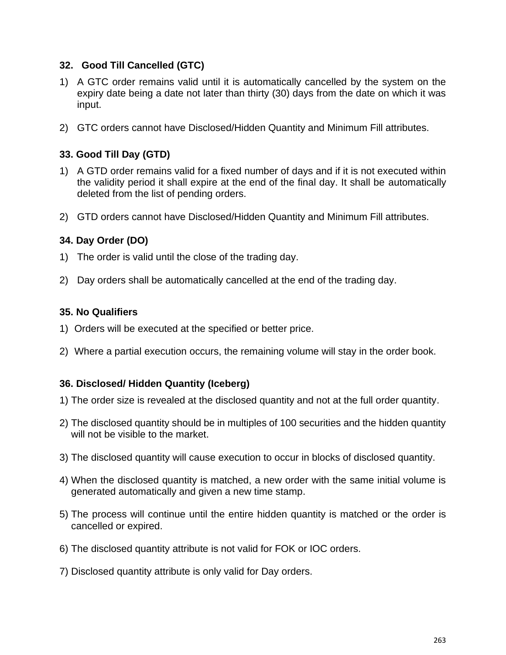## **32. Good Till Cancelled (GTC)**

- 1) A GTC order remains valid until it is automatically cancelled by the system on the expiry date being a date not later than thirty (30) days from the date on which it was input.
- 2) GTC orders cannot have Disclosed/Hidden Quantity and Minimum Fill attributes.

# **33. Good Till Day (GTD)**

- 1) A GTD order remains valid for a fixed number of days and if it is not executed within the validity period it shall expire at the end of the final day. It shall be automatically deleted from the list of pending orders.
- 2) GTD orders cannot have Disclosed/Hidden Quantity and Minimum Fill attributes.

# **34. Day Order (DO)**

- 1) The order is valid until the close of the trading day.
- 2) Day orders shall be automatically cancelled at the end of the trading day.

## **35. No Qualifiers**

- 1) Orders will be executed at the specified or better price.
- 2) Where a partial execution occurs, the remaining volume will stay in the order book.

## **36. Disclosed/ Hidden Quantity (Iceberg)**

- 1) The order size is revealed at the disclosed quantity and not at the full order quantity.
- 2) The disclosed quantity should be in multiples of 100 securities and the hidden quantity will not be visible to the market.
- 3) The disclosed quantity will cause execution to occur in blocks of disclosed quantity.
- 4) When the disclosed quantity is matched, a new order with the same initial volume is generated automatically and given a new time stamp.
- 5) The process will continue until the entire hidden quantity is matched or the order is cancelled or expired.
- 6) The disclosed quantity attribute is not valid for FOK or IOC orders.
- 7) Disclosed quantity attribute is only valid for Day orders.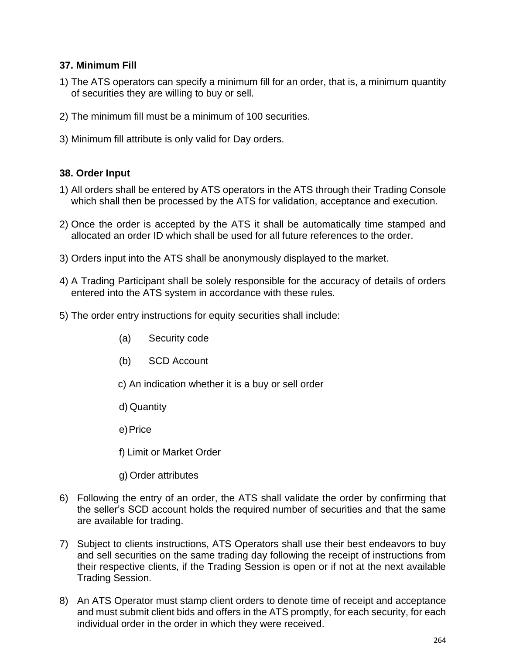## **37. Minimum Fill**

- 1) The ATS operators can specify a minimum fill for an order, that is, a minimum quantity of securities they are willing to buy or sell.
- 2) The minimum fill must be a minimum of 100 securities.
- 3) Minimum fill attribute is only valid for Day orders.

## **38. Order Input**

- 1) All orders shall be entered by ATS operators in the ATS through their Trading Console which shall then be processed by the ATS for validation, acceptance and execution.
- 2) Once the order is accepted by the ATS it shall be automatically time stamped and allocated an order ID which shall be used for all future references to the order.
- 3) Orders input into the ATS shall be anonymously displayed to the market.
- 4) A Trading Participant shall be solely responsible for the accuracy of details of orders entered into the ATS system in accordance with these rules.
- 5) The order entry instructions for equity securities shall include:
	- (a) Security code
	- (b) SCD Account
	- c) An indication whether it is a buy or sell order
	- d) Quantity
	- e) Price
	- f) Limit or Market Order
	- g) Order attributes
- 6) Following the entry of an order, the ATS shall validate the order by confirming that the seller's SCD account holds the required number of securities and that the same are available for trading.
- 7) Subject to clients instructions, ATS Operators shall use their best endeavors to buy and sell securities on the same trading day following the receipt of instructions from their respective clients, if the Trading Session is open or if not at the next available Trading Session.
- 8) An ATS Operator must stamp client orders to denote time of receipt and acceptance and must submit client bids and offers in the ATS promptly, for each security, for each individual order in the order in which they were received.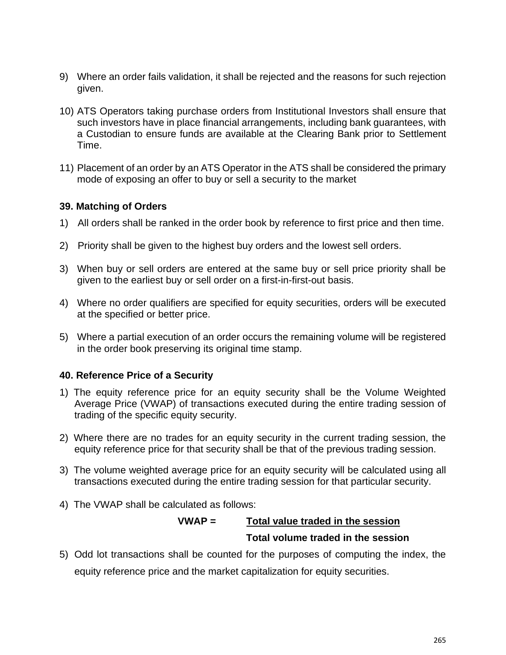- 9) Where an order fails validation, it shall be rejected and the reasons for such rejection given.
- 10) ATS Operators taking purchase orders from Institutional Investors shall ensure that such investors have in place financial arrangements, including bank guarantees, with a Custodian to ensure funds are available at the Clearing Bank prior to Settlement Time.
- 11) Placement of an order by an ATS Operator in the ATS shall be considered the primary mode of exposing an offer to buy or sell a security to the market

## **39. Matching of Orders**

- 1) All orders shall be ranked in the order book by reference to first price and then time.
- 2) Priority shall be given to the highest buy orders and the lowest sell orders.
- 3) When buy or sell orders are entered at the same buy or sell price priority shall be given to the earliest buy or sell order on a first-in-first-out basis.
- 4) Where no order qualifiers are specified for equity securities, orders will be executed at the specified or better price.
- 5) Where a partial execution of an order occurs the remaining volume will be registered in the order book preserving its original time stamp.

#### **40. Reference Price of a Security**

- 1) The equity reference price for an equity security shall be the Volume Weighted Average Price (VWAP) of transactions executed during the entire trading session of trading of the specific equity security.
- 2) Where there are no trades for an equity security in the current trading session, the equity reference price for that security shall be that of the previous trading session.
- 3) The volume weighted average price for an equity security will be calculated using all transactions executed during the entire trading session for that particular security.
- 4) The VWAP shall be calculated as follows:

# **VWAP = Total value traded in the session Total volume traded in the session**

5) Odd lot transactions shall be counted for the purposes of computing the index, the equity reference price and the market capitalization for equity securities.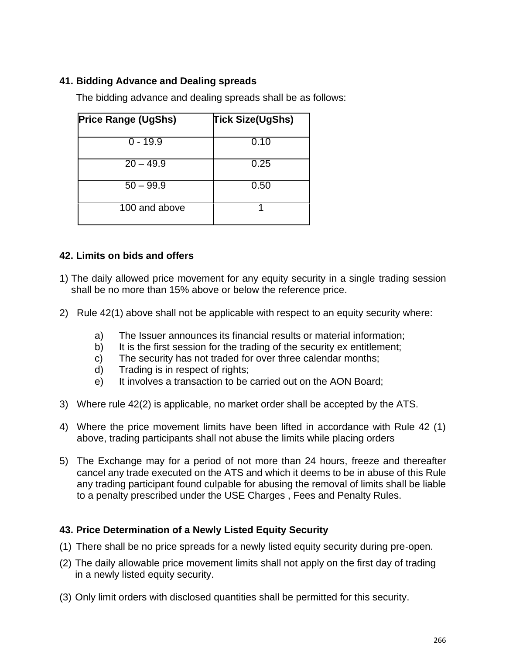# **41. Bidding Advance and Dealing spreads**

The bidding advance and dealing spreads shall be as follows:

| <b>Price Range (UgShs)</b> | <b>Tick Size(UgShs)</b> |
|----------------------------|-------------------------|
| $0 - 19.9$                 | 0.10                    |
| $20 - 49.9$                | 0.25                    |
| $50 - 99.9$                | 0.50                    |
| 100 and above              |                         |

## **42. Limits on bids and offers**

- 1) The daily allowed price movement for any equity security in a single trading session shall be no more than 15% above or below the reference price.
- 2) Rule 42(1) above shall not be applicable with respect to an equity security where:
	- a) The Issuer announces its financial results or material information;
	- b) It is the first session for the trading of the security ex entitlement;
	- c) The security has not traded for over three calendar months;
	- d) Trading is in respect of rights;
	- e) It involves a transaction to be carried out on the AON Board;
- 3) Where rule 42(2) is applicable, no market order shall be accepted by the ATS.
- 4) Where the price movement limits have been lifted in accordance with Rule 42 (1) above, trading participants shall not abuse the limits while placing orders
- 5) The Exchange may for a period of not more than 24 hours, freeze and thereafter cancel any trade executed on the ATS and which it deems to be in abuse of this Rule any trading participant found culpable for abusing the removal of limits shall be liable to a penalty prescribed under the USE Charges , Fees and Penalty Rules.

## **43. Price Determination of a Newly Listed Equity Security**

- (1) There shall be no price spreads for a newly listed equity security during pre-open.
- (2) The daily allowable price movement limits shall not apply on the first day of trading in a newly listed equity security.
- (3) Only limit orders with disclosed quantities shall be permitted for this security.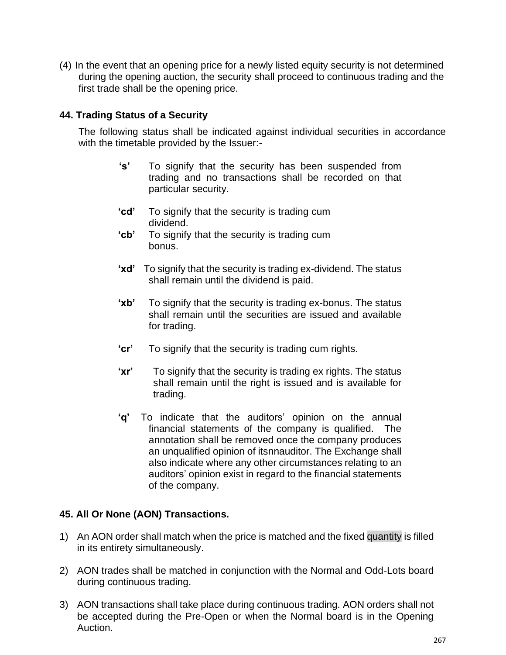(4) In the event that an opening price for a newly listed equity security is not determined during the opening auction, the security shall proceed to continuous trading and the first trade shall be the opening price.

## **44. Trading Status of a Security**

The following status shall be indicated against individual securities in accordance with the timetable provided by the Issuer:-

- **'s'** To signify that the security has been suspended from trading and no transactions shall be recorded on that particular security.
- **'cd'** To signify that the security is trading cum dividend.
- **'cb'** To signify that the security is trading cum bonus.
- **'xd'** To signify that the security is trading ex-dividend. The status shall remain until the dividend is paid.
- **'xb'** To signify that the security is trading ex-bonus. The status shall remain until the securities are issued and available for trading.
- **'cr'** To signify that the security is trading cum rights.
- **'xr'** To signify that the security is trading ex rights. The status shall remain until the right is issued and is available for trading.
- **'q'** To indicate thatthe auditors'opinion on the annual financial statements of the company is qualified. The annotation shall be removed once the company produces an unqualified opinion of itsnnauditor. The Exchange shall also indicate where any other circumstances relating to an auditors' opinion exist in regard to the financial statements of the company.

## **45. All Or None (AON) Transactions.**

- 1) An AON order shall match when the price is matched and the fixed quantity is filled in its entirety simultaneously.
- 2) AON trades shall be matched in conjunction with the Normal and Odd-Lots board during continuous trading.
- 3) AON transactions shall take place during continuous trading. AON orders shall not be accepted during the Pre-Open or when the Normal board is in the Opening Auction.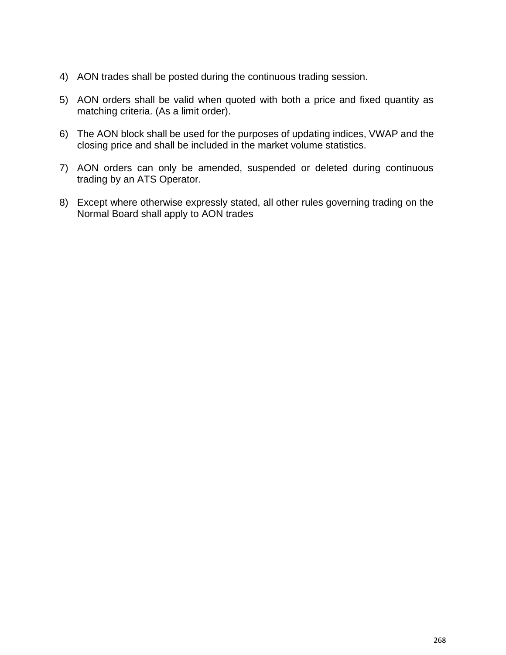- 4) AON trades shall be posted during the continuous trading session.
- 5) AON orders shall be valid when quoted with both a price and fixed quantity as matching criteria. (As a limit order).
- 6) The AON block shall be used for the purposes of updating indices, VWAP and the closing price and shall be included in the market volume statistics.
- 7) AON orders can only be amended, suspended or deleted during continuous trading by an ATS Operator.
- 8) Except where otherwise expressly stated, all other rules governing trading on the Normal Board shall apply to AON trades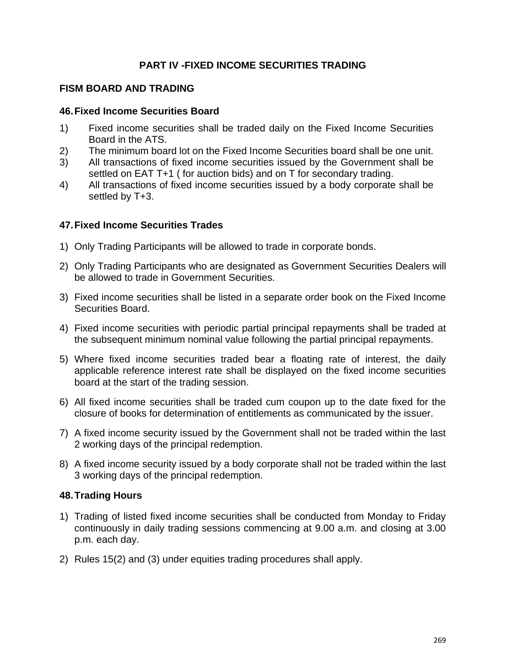## **PART IV -FIXED INCOME SECURITIES TRADING**

#### **FISM BOARD AND TRADING**

#### **46.Fixed Income Securities Board**

- 1) Fixed income securities shall be traded daily on the Fixed Income Securities Board in the ATS.
- 2) The minimum board lot on the Fixed Income Securities board shall be one unit.
- 3) All transactions of fixed income securities issued by the Government shall be settled on EAT T+1 ( for auction bids) and on T for secondary trading.
- 4) All transactions of fixed income securities issued by a body corporate shall be settled by T+3.

#### **47.Fixed Income Securities Trades**

- 1) Only Trading Participants will be allowed to trade in corporate bonds.
- 2) Only Trading Participants who are designated as Government Securities Dealers will be allowed to trade in Government Securities.
- 3) Fixed income securities shall be listed in a separate order book on the Fixed Income Securities Board.
- 4) Fixed income securities with periodic partial principal repayments shall be traded at the subsequent minimum nominal value following the partial principal repayments.
- 5) Where fixed income securities traded bear a floating rate of interest, the daily applicable reference interest rate shall be displayed on the fixed income securities board at the start of the trading session.
- 6) All fixed income securities shall be traded cum coupon up to the date fixed for the closure of books for determination of entitlements as communicated by the issuer.
- 7) A fixed income security issued by the Government shall not be traded within the last 2 working days of the principal redemption.
- 8) A fixed income security issued by a body corporate shall not be traded within the last 3 working days of the principal redemption.

#### **48.Trading Hours**

- 1) Trading of listed fixed income securities shall be conducted from Monday to Friday continuously in daily trading sessions commencing at 9.00 a.m. and closing at 3.00 p.m. each day.
- 2) Rules 15(2) and (3) under equities trading procedures shall apply.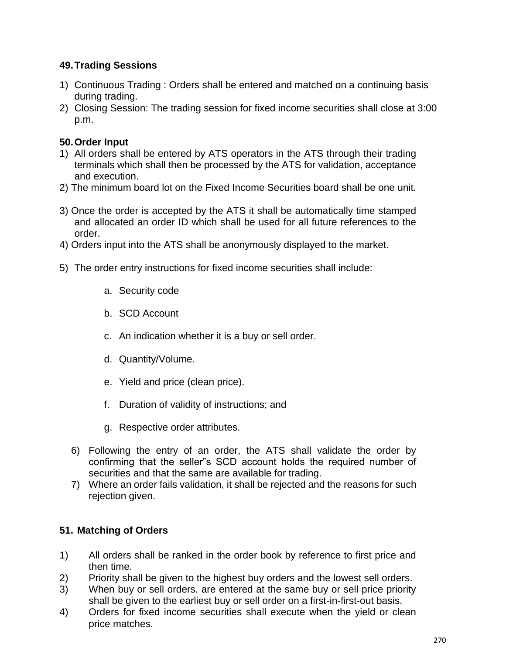# **49.Trading Sessions**

- 1) Continuous Trading : Orders shall be entered and matched on a continuing basis during trading.
- 2) Closing Session: The trading session for fixed income securities shall close at 3:00 p.m.

# **50.Order Input**

- 1) All orders shall be entered by ATS operators in the ATS through their trading terminals which shall then be processed by the ATS for validation, acceptance and execution.
- 2) The minimum board lot on the Fixed Income Securities board shall be one unit.
- 3) Once the order is accepted by the ATS it shall be automatically time stamped and allocated an order ID which shall be used for all future references to the order.
- 4) Orders input into the ATS shall be anonymously displayed to the market.
- 5) The order entry instructions for fixed income securities shall include:
	- a. Security code
	- b. SCD Account
	- c. An indication whether it is a buy or sell order.
	- d. Quantity/Volume.
	- e. Yield and price (clean price).
	- f. Duration of validity of instructions; and
	- g. Respective order attributes.
	- 6) Following the entry of an order, the ATS shall validate the order by confirming that the seller"s SCD account holds the required number of securities and that the same are available for trading.
	- 7) Where an order fails validation, it shall be rejected and the reasons for such rejection given.

## **51. Matching of Orders**

- 1) All orders shall be ranked in the order book by reference to first price and then time.
- 2) Priority shall be given to the highest buy orders and the lowest sell orders.
- 3) When buy or sell orders. are entered at the same buy or sell price priority shall be given to the earliest buy or sell order on a first-in-first-out basis.
- 4) Orders for fixed income securities shall execute when the yield or clean price matches.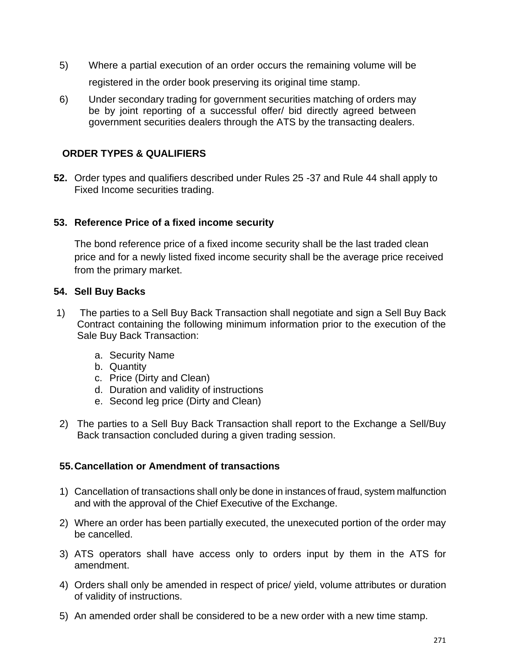- 5) Where a partial execution of an order occurs the remaining volume will be registered in the order book preserving its original time stamp.
- 6) Under secondary trading for government securities matching of orders may be by joint reporting of a successful offer/ bid directly agreed between government securities dealers through the ATS by the transacting dealers.

# **ORDER TYPES & QUALIFIERS**

**52.** Order types and qualifiers described under Rules 25 -37 and Rule 44 shall apply to Fixed Income securities trading.

## **53. Reference Price of a fixed income security**

The bond reference price of a fixed income security shall be the last traded clean price and for a newly listed fixed income security shall be the average price received from the primary market.

## **54. Sell Buy Backs**

- 1) The parties to a Sell Buy Back Transaction shall negotiate and sign a Sell Buy Back Contract containing the following minimum information prior to the execution of the Sale Buy Back Transaction:
	- a. Security Name
	- b. Quantity
	- c. Price (Dirty and Clean)
	- d. Duration and validity of instructions
	- e. Second leg price (Dirty and Clean)
- 2) The parties to a Sell Buy Back Transaction shall report to the Exchange a Sell/Buy Back transaction concluded during a given trading session.

#### **55.Cancellation or Amendment of transactions**

- 1) Cancellation of transactions shall only be done in instances of fraud, system malfunction and with the approval of the Chief Executive of the Exchange.
- 2) Where an order has been partially executed, the unexecuted portion of the order may be cancelled.
- 3) ATS operators shall have access only to orders input by them in the ATS for amendment.
- 4) Orders shall only be amended in respect of price/ yield, volume attributes or duration of validity of instructions.
- 5) An amended order shall be considered to be a new order with a new time stamp.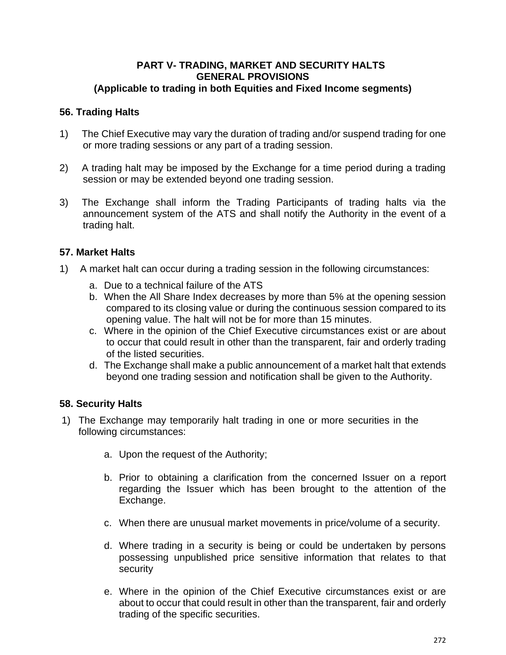#### **PART V- TRADING, MARKET AND SECURITY HALTS GENERAL PROVISIONS (Applicable to trading in both Equities and Fixed Income segments)**

## **56. Trading Halts**

- 1) The Chief Executive may vary the duration of trading and/or suspend trading for one or more trading sessions or any part of a trading session.
- 2) A trading halt may be imposed by the Exchange for a time period during a trading session or may be extended beyond one trading session.
- 3) The Exchange shall inform the Trading Participants of trading halts via the announcement system of the ATS and shall notify the Authority in the event of a trading halt.

## **57. Market Halts**

- 1) A market halt can occur during a trading session in the following circumstances:
	- a. Due to a technical failure of the ATS
	- b. When the All Share Index decreases by more than 5% at the opening session compared to its closing value or during the continuous session compared to its opening value. The halt will not be for more than 15 minutes.
	- c. Where in the opinion of the Chief Executive circumstances exist or are about to occur that could result in other than the transparent, fair and orderly trading of the listed securities.
	- d. The Exchange shall make a public announcement of a market halt that extends beyond one trading session and notification shall be given to the Authority.

#### **58. Security Halts**

- 1) The Exchange may temporarily halt trading in one or more securities in the following circumstances:
	- a. Upon the request of the Authority;
	- b. Prior to obtaining a clarification from the concerned Issuer on a report regarding the Issuer which has been brought to the attention of the Exchange.
	- c. When there are unusual market movements in price/volume of a security.
	- d. Where trading in a security is being or could be undertaken by persons possessing unpublished price sensitive information that relates to that security
	- e. Where in the opinion of the Chief Executive circumstances exist or are about to occur that could result in other than the transparent, fair and orderly trading of the specific securities.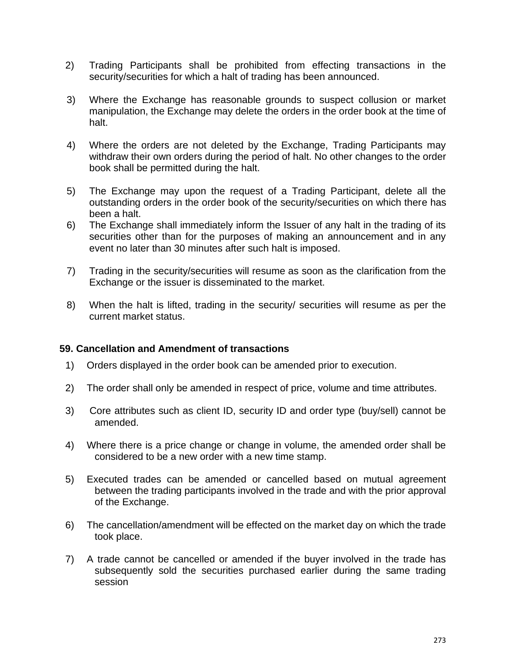- 2) Trading Participants shall be prohibited from effecting transactions in the security/securities for which a halt of trading has been announced.
- 3) Where the Exchange has reasonable grounds to suspect collusion or market manipulation, the Exchange may delete the orders in the order book at the time of halt.
- 4) Where the orders are not deleted by the Exchange, Trading Participants may withdraw their own orders during the period of halt. No other changes to the order book shall be permitted during the halt.
- 5) The Exchange may upon the request of a Trading Participant, delete all the outstanding orders in the order book of the security/securities on which there has been a halt.
- 6) The Exchange shall immediately inform the Issuer of any halt in the trading of its securities other than for the purposes of making an announcement and in any event no later than 30 minutes after such halt is imposed.
- 7) Trading in the security/securities will resume as soon as the clarification from the Exchange or the issuer is disseminated to the market.
- 8) When the halt is lifted, trading in the security/ securities will resume as per the current market status.

#### **59. Cancellation and Amendment of transactions**

- 1) Orders displayed in the order book can be amended prior to execution.
- 2) The order shall only be amended in respect of price, volume and time attributes.
- 3) Core attributes such as client ID, security ID and order type (buy/sell) cannot be amended.
- 4) Where there is a price change or change in volume, the amended order shall be considered to be a new order with a new time stamp.
- 5) Executed trades can be amended or cancelled based on mutual agreement between the trading participants involved in the trade and with the prior approval of the Exchange.
- 6) The cancellation/amendment will be effected on the market day on which the trade took place.
- 7) A trade cannot be cancelled or amended if the buyer involved in the trade has subsequently sold the securities purchased earlier during the same trading session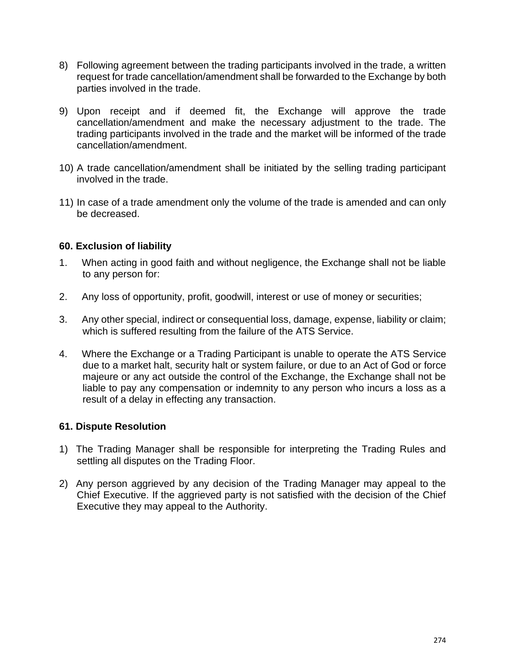- 8) Following agreement between the trading participants involved in the trade, a written request for trade cancellation/amendment shall be forwarded to the Exchange by both parties involved in the trade.
- 9) Upon receipt and if deemed fit, the Exchange will approve the trade cancellation/amendment and make the necessary adjustment to the trade. The trading participants involved in the trade and the market will be informed of the trade cancellation/amendment.
- 10) A trade cancellation/amendment shall be initiated by the selling trading participant involved in the trade.
- 11) In case of a trade amendment only the volume of the trade is amended and can only be decreased.

## **60. Exclusion of liability**

- 1. When acting in good faith and without negligence, the Exchange shall not be liable to any person for:
- 2. Any loss of opportunity, profit, goodwill, interest or use of money or securities;
- 3. Any other special, indirect or consequential loss, damage, expense, liability or claim; which is suffered resulting from the failure of the ATS Service.
- 4. Where the Exchange or a Trading Participant is unable to operate the ATS Service due to a market halt, security halt or system failure, or due to an Act of God or force majeure or any act outside the control of the Exchange, the Exchange shall not be liable to pay any compensation or indemnity to any person who incurs a loss as a result of a delay in effecting any transaction.

#### **61. Dispute Resolution**

- 1) The Trading Manager shall be responsible for interpreting the Trading Rules and settling all disputes on the Trading Floor.
- 2) Any person aggrieved by any decision of the Trading Manager may appeal to the Chief Executive. If the aggrieved party is not satisfied with the decision of the Chief Executive they may appeal to the Authority.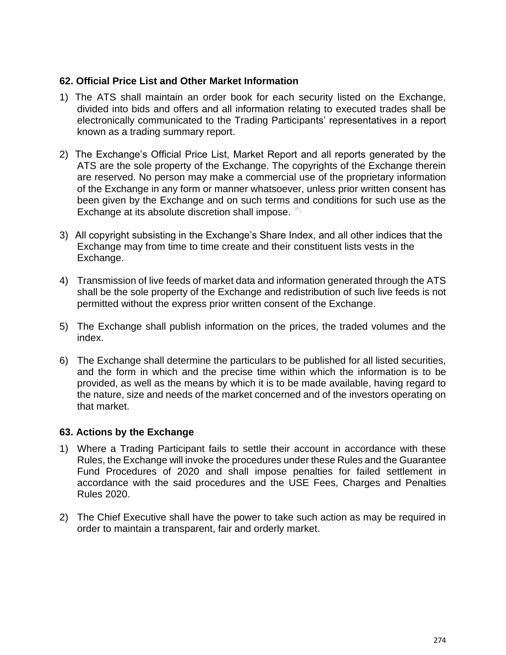## **62. Official Price List and Other Market Information**

- 1) The ATS shall maintain an order book for each security listed on the Exchange, divided into bids and offers and all information relating to executed trades shall be electronically communicated to the Trading Participants' representatives in a report known as a trading summary report.
- 2) The Exchange's Official Price List, Market Report and all reports generated by the ATS are the sole property of the Exchange. The copyrights of the Exchange therein are reserved. No person may make a commercial use of the proprietary information of the Exchange in any form or manner whatsoever, unless prior written consent has been given by the Exchange and on such terms and conditions for such use as the Exchange at its absolute discretion shall impose.
- 3) All copyright subsisting in the Exchange's Share Index, and all other indices that the Exchange may from time to time create and their constituent lists vests in the Exchange.
- 4) Transmission of live feeds of market data and information generated through the ATS shall be the sole property of the Exchange and redistribution of such live feeds is not permitted without the express prior written consent of the Exchange.
- 5) The Exchange shall publish information on the prices, the traded volumes and the index.
- 6) The Exchange shall determine the particulars to be published for all listed securities, and the form in which and the precise time within which the information is to be provided, as well as the means by which it is to be made available, having regard to the nature, size and needs of the market concerned and of the investors operating on that market.

#### **63. Actions by the Exchange**

- 1) Where a Trading Participant fails to settle their account in accordance with these Rules, the Exchange will invoke the procedures under these Rules and the Guarantee Fund Procedures of 2020 and shall impose penalties for failed settlement in accordance with the said procedures and the USE Fees, Charges and Penalties Rules 2020.
- 2) The Chief Executive shall have the power to take such action as may be required in order to maintain a transparent, fair and orderly market.